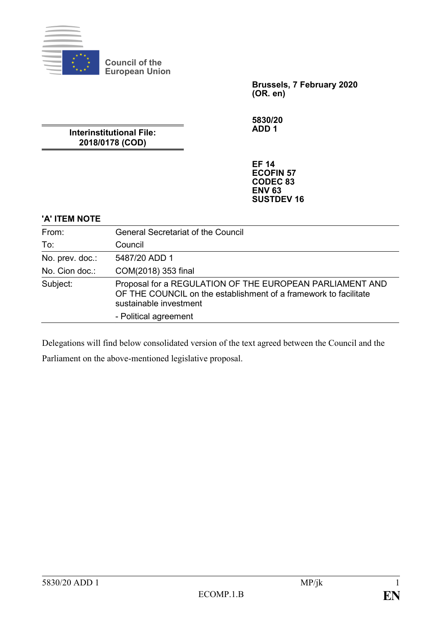

**Council of the European Union**

> **Brussels, 7 February 2020 (OR. en)**

**5830/20 ADD 1**

**Interinstitutional File: 2018/0178 (COD)**

> **EF 14 ECOFIN 57 CODEC 83 ENV 63 SUSTDEV 16**

# **'A' ITEM NOTE**

| From:           | <b>General Secretariat of the Council</b>                                                                                                              |
|-----------------|--------------------------------------------------------------------------------------------------------------------------------------------------------|
| To:             | Council                                                                                                                                                |
| No. prev. doc.: | 5487/20 ADD 1                                                                                                                                          |
| No. Cion doc.:  | COM(2018) 353 final                                                                                                                                    |
| Subject:        | Proposal for a REGULATION OF THE EUROPEAN PARLIAMENT AND<br>OF THE COUNCIL on the establishment of a framework to facilitate<br>sustainable investment |
|                 | - Political agreement                                                                                                                                  |

Delegations will find below consolidated version of the text agreed between the Council and the

Parliament on the above-mentioned legislative proposal.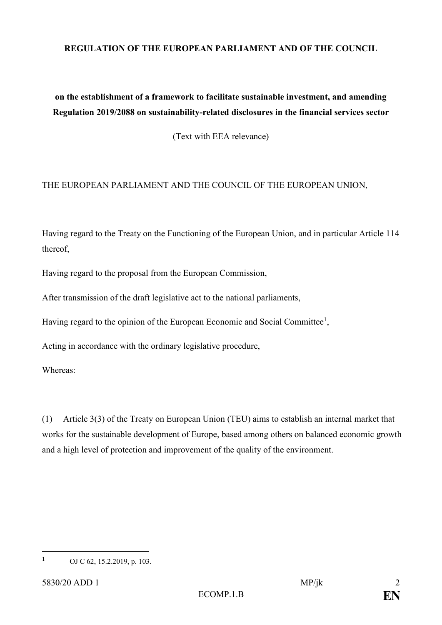#### **REGULATION OF THE EUROPEAN PARLIAMENT AND OF THE COUNCIL**

# **on the establishment of a framework to facilitate sustainable investment, and amending Regulation 2019/2088 on sustainability-related disclosures in the financial services sector**

(Text with EEA relevance)

#### THE EUROPEAN PARLIAMENT AND THE COUNCIL OF THE EUROPEAN UNION,

Having regard to the Treaty on the Functioning of the European Union, and in particular Article 114 thereof,

Having regard to the proposal from the European Commission,

After transmission of the draft legislative act to the national parliaments,

Having regard to the opinion of the European Economic and Social Committee<sup>1</sup>,

Acting in accordance with the ordinary legislative procedure,

Whereas:

(1) Article 3(3) of the Treaty on European Union (TEU) aims to establish an internal market that works for the sustainable development of Europe, based among others on balanced economic growth and a high level of protection and improvement of the quality of the environment.

1

**<sup>1</sup>** OJ C 62, 15.2.2019, p. 103.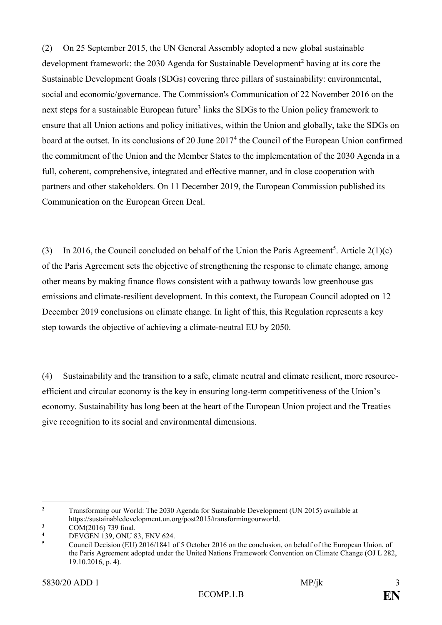(2) On 25 September 2015, the UN General Assembly adopted a new global sustainable development framework: the 2030 Agenda for Sustainable Development<sup>2</sup> having at its core the Sustainable Development Goals (SDGs) covering three pillars of sustainability: environmental, social and economic/governance. The Commission's Communication of 22 November 2016 on the next steps for a sustainable European future<sup>3</sup> links the SDGs to the Union policy framework to ensure that all Union actions and policy initiatives, within the Union and globally, take the SDGs on board at the outset. In its conclusions of 20 June 2017<sup>4</sup> the Council of the European Union confirmed the commitment of the Union and the Member States to the implementation of the 2030 Agenda in a full, coherent, comprehensive, integrated and effective manner, and in close cooperation with partners and other stakeholders. On 11 December 2019, the European Commission published its Communication on the European Green Deal.

(3) In 2016, the Council concluded on behalf of the Union the Paris Agreement<sup>5</sup>. Article  $2(1)(c)$ of the Paris Agreement sets the objective of strengthening the response to climate change, among other means by making finance flows consistent with a pathway towards low greenhouse gas emissions and climate-resilient development. In this context, the European Council adopted on 12 December 2019 conclusions on climate change. In light of this, this Regulation represents a key step towards the objective of achieving a climate-neutral EU by 2050.

(4) Sustainability and the transition to a safe, climate neutral and climate resilient, more resourceefficient and circular economy is the key in ensuring long-term competitiveness of the Union's economy. Sustainability has long been at the heart of the European Union project and the Treaties give recognition to its social and environmental dimensions.

 $\overline{2}$ **<sup>2</sup>** Transforming our World: The 2030 Agenda for Sustainable Development (UN 2015) available at https://sustainabledevelopment.un.org/post2015/transformingourworld.

 $\frac{3}{4}$  COM(2016) 739 final.

**<sup>4</sup>** DEVGEN 139, ONU 83, ENV 624.

**<sup>5</sup>** Council Decision (EU) 2016/1841 of 5 October 2016 on the conclusion, on behalf of the European Union, of the Paris Agreement adopted under the United Nations Framework Convention on Climate Change (OJ L 282, 19.10.2016, p. 4).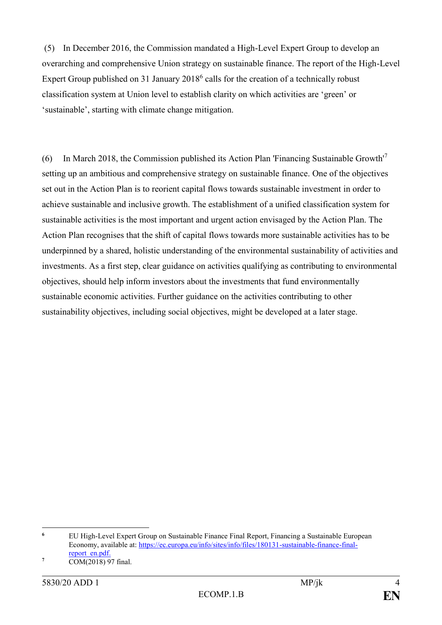(5) In December 2016, the Commission mandated a High-Level Expert Group to develop an overarching and comprehensive Union strategy on sustainable finance. The report of the High-Level Expert Group published on 31 January  $2018<sup>6</sup>$  calls for the creation of a technically robust classification system at Union level to establish clarity on which activities are 'green' or 'sustainable', starting with climate change mitigation.

(6) In March 2018, the Commission published its Action Plan 'Financing Sustainable Growth'<sup>7</sup> setting up an ambitious and comprehensive strategy on sustainable finance. One of the objectives set out in the Action Plan is to reorient capital flows towards sustainable investment in order to achieve sustainable and inclusive growth. The establishment of a unified classification system for sustainable activities is the most important and urgent action envisaged by the Action Plan. The Action Plan recognises that the shift of capital flows towards more sustainable activities has to be underpinned by a shared, holistic understanding of the environmental sustainability of activities and investments. As a first step, clear guidance on activities qualifying as contributing to environmental objectives, should help inform investors about the investments that fund environmentally sustainable economic activities. Further guidance on the activities contributing to other sustainability objectives, including social objectives, might be developed at a later stage.

 $\epsilon$ **<sup>6</sup>** EU High-Level Expert Group on Sustainable Finance Final Report, Financing a Sustainable European Economy, available at: [https://ec.europa.eu/info/sites/info/files/180131-sustainable-finance-final](https://ec.europa.eu/info/sites/info/files/180131-sustainable-finance-final-report_en.pdf)[report\\_en.pdf.](https://ec.europa.eu/info/sites/info/files/180131-sustainable-finance-final-report_en.pdf)

**<sup>7</sup>**  $\overline{COM(2018) 97}$  final.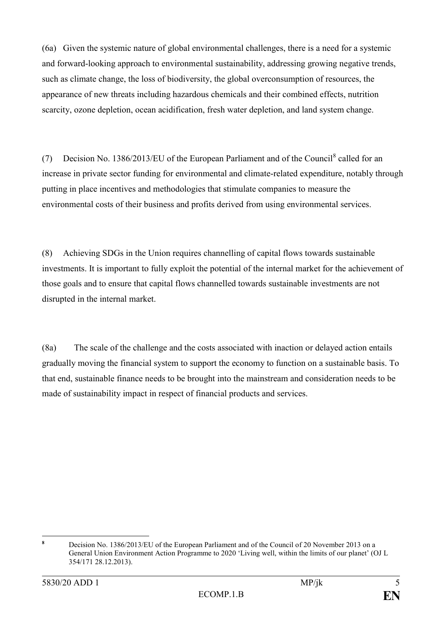(6a) Given the systemic nature of global environmental challenges, there is a need for a systemic and forward-looking approach to environmental sustainability, addressing growing negative trends, such as climate change, the loss of biodiversity, the global overconsumption of resources, the appearance of new threats including hazardous chemicals and their combined effects, nutrition scarcity, ozone depletion, ocean acidification, fresh water depletion, and land system change.

(7) Decision No. 1386/2013/EU of the European Parliament and of the Council<sup>8</sup> called for an increase in private sector funding for environmental and climate-related expenditure, notably through putting in place incentives and methodologies that stimulate companies to measure the environmental costs of their business and profits derived from using environmental services.

(8) Achieving SDGs in the Union requires channelling of capital flows towards sustainable investments. It is important to fully exploit the potential of the internal market for the achievement of those goals and to ensure that capital flows channelled towards sustainable investments are not disrupted in the internal market.

(8a) The scale of the challenge and the costs associated with inaction or delayed action entails gradually moving the financial system to support the economy to function on a sustainable basis. To that end, sustainable finance needs to be brought into the mainstream and consideration needs to be made of sustainability impact in respect of financial products and services.

 $\mathbf{Q}$ **<sup>8</sup>** Decision No. 1386/2013/EU of the European Parliament and of the Council of 20 November 2013 on a General Union Environment Action Programme to 2020 'Living well, within the limits of our planet' (OJ L 354/171 28.12.2013).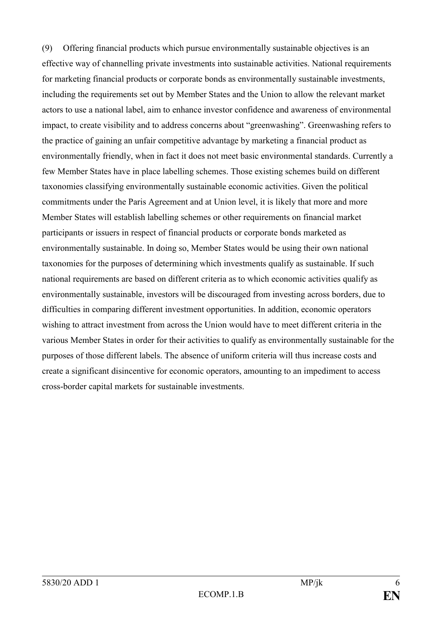(9) Offering financial products which pursue environmentally sustainable objectives is an effective way of channelling private investments into sustainable activities. National requirements for marketing financial products or corporate bonds as environmentally sustainable investments, including the requirements set out by Member States and the Union to allow the relevant market actors to use a national label, aim to enhance investor confidence and awareness of environmental impact, to create visibility and to address concerns about "greenwashing". Greenwashing refers to the practice of gaining an unfair competitive advantage by marketing a financial product as environmentally friendly, when in fact it does not meet basic environmental standards. Currently a few Member States have in place labelling schemes. Those existing schemes build on different taxonomies classifying environmentally sustainable economic activities. Given the political commitments under the Paris Agreement and at Union level, it is likely that more and more Member States will establish labelling schemes or other requirements on financial market participants or issuers in respect of financial products or corporate bonds marketed as environmentally sustainable. In doing so, Member States would be using their own national taxonomies for the purposes of determining which investments qualify as sustainable. If such national requirements are based on different criteria as to which economic activities qualify as environmentally sustainable, investors will be discouraged from investing across borders, due to difficulties in comparing different investment opportunities. In addition, economic operators wishing to attract investment from across the Union would have to meet different criteria in the various Member States in order for their activities to qualify as environmentally sustainable for the purposes of those different labels. The absence of uniform criteria will thus increase costs and create a significant disincentive for economic operators, amounting to an impediment to access cross-border capital markets for sustainable investments.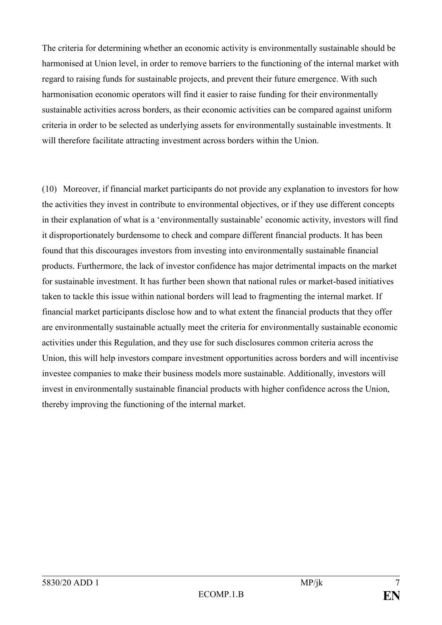The criteria for determining whether an economic activity is environmentally sustainable should be harmonised at Union level, in order to remove barriers to the functioning of the internal market with regard to raising funds for sustainable projects, and prevent their future emergence. With such harmonisation economic operators will find it easier to raise funding for their environmentally sustainable activities across borders, as their economic activities can be compared against uniform criteria in order to be selected as underlying assets for environmentally sustainable investments. It will therefore facilitate attracting investment across borders within the Union.

(10) Moreover, if financial market participants do not provide any explanation to investors for how the activities they invest in contribute to environmental objectives, or if they use different concepts in their explanation of what is a 'environmentally sustainable' economic activity, investors will find it disproportionately burdensome to check and compare different financial products. It has been found that this discourages investors from investing into environmentally sustainable financial products. Furthermore, the lack of investor confidence has major detrimental impacts on the market for sustainable investment. It has further been shown that national rules or market-based initiatives taken to tackle this issue within national borders will lead to fragmenting the internal market. If financial market participants disclose how and to what extent the financial products that they offer are environmentally sustainable actually meet the criteria for environmentally sustainable economic activities under this Regulation, and they use for such disclosures common criteria across the Union, this will help investors compare investment opportunities across borders and will incentivise investee companies to make their business models more sustainable. Additionally, investors will invest in environmentally sustainable financial products with higher confidence across the Union, thereby improving the functioning of the internal market.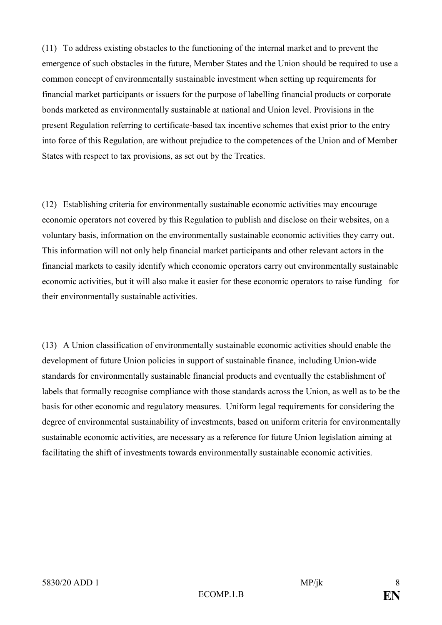(11) To address existing obstacles to the functioning of the internal market and to prevent the emergence of such obstacles in the future, Member States and the Union should be required to use a common concept of environmentally sustainable investment when setting up requirements for financial market participants or issuers for the purpose of labelling financial products or corporate bonds marketed as environmentally sustainable at national and Union level. Provisions in the present Regulation referring to certificate-based tax incentive schemes that exist prior to the entry into force of this Regulation, are without prejudice to the competences of the Union and of Member States with respect to tax provisions, as set out by the Treaties.

(12) Establishing criteria for environmentally sustainable economic activities may encourage economic operators not covered by this Regulation to publish and disclose on their websites, on a voluntary basis, information on the environmentally sustainable economic activities they carry out. This information will not only help financial market participants and other relevant actors in the financial markets to easily identify which economic operators carry out environmentally sustainable economic activities, but it will also make it easier for these economic operators to raise funding for their environmentally sustainable activities.

(13) A Union classification of environmentally sustainable economic activities should enable the development of future Union policies in support of sustainable finance, including Union-wide standards for environmentally sustainable financial products and eventually the establishment of labels that formally recognise compliance with those standards across the Union, as well as to be the basis for other economic and regulatory measures. Uniform legal requirements for considering the degree of environmental sustainability of investments, based on uniform criteria for environmentally sustainable economic activities, are necessary as a reference for future Union legislation aiming at facilitating the shift of investments towards environmentally sustainable economic activities.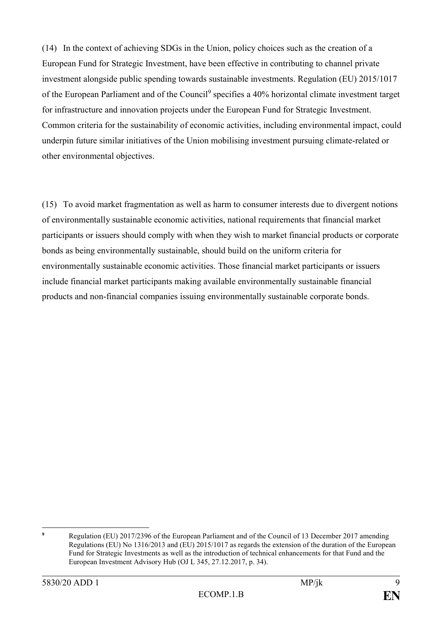(14) In the context of achieving SDGs in the Union, policy choices such as the creation of a European Fund for Strategic Investment, have been effective in contributing to channel private investment alongside public spending towards sustainable investments. Regulation (EU) 2015/1017 of the European Parliament and of the Council<sup>9</sup> specifies a 40% horizontal climate investment target for infrastructure and innovation projects under the European Fund for Strategic Investment. Common criteria for the sustainability of economic activities, including environmental impact, could underpin future similar initiatives of the Union mobilising investment pursuing climate-related or other environmental objectives.

(15) To avoid market fragmentation as well as harm to consumer interests due to divergent notions of environmentally sustainable economic activities, national requirements that financial market participants or issuers should comply with when they wish to market financial products or corporate bonds as being environmentally sustainable, should build on the uniform criteria for environmentally sustainable economic activities. Those financial market participants or issuers include financial market participants making available environmentally sustainable financial products and non-financial companies issuing environmentally sustainable corporate bonds.

 $\ddot{\mathbf{Q}}$ **<sup>9</sup>** Regulation (EU) 2017/2396 of the European Parliament and of the Council of 13 December 2017 amending Regulations (EU) No 1316/2013 and (EU) 2015/1017 as regards the extension of the duration of the European Fund for Strategic Investments as well as the introduction of technical enhancements for that Fund and the European Investment Advisory Hub (OJ L 345, 27.12.2017, p. 34).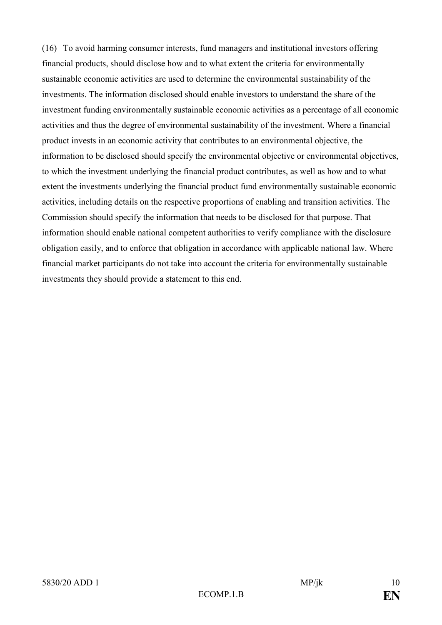(16) To avoid harming consumer interests, fund managers and institutional investors offering financial products, should disclose how and to what extent the criteria for environmentally sustainable economic activities are used to determine the environmental sustainability of the investments. The information disclosed should enable investors to understand the share of the investment funding environmentally sustainable economic activities as a percentage of all economic activities and thus the degree of environmental sustainability of the investment. Where a financial product invests in an economic activity that contributes to an environmental objective, the information to be disclosed should specify the environmental objective or environmental objectives, to which the investment underlying the financial product contributes, as well as how and to what extent the investments underlying the financial product fund environmentally sustainable economic activities, including details on the respective proportions of enabling and transition activities. The Commission should specify the information that needs to be disclosed for that purpose. That information should enable national competent authorities to verify compliance with the disclosure obligation easily, and to enforce that obligation in accordance with applicable national law. Where financial market participants do not take into account the criteria for environmentally sustainable investments they should provide a statement to this end.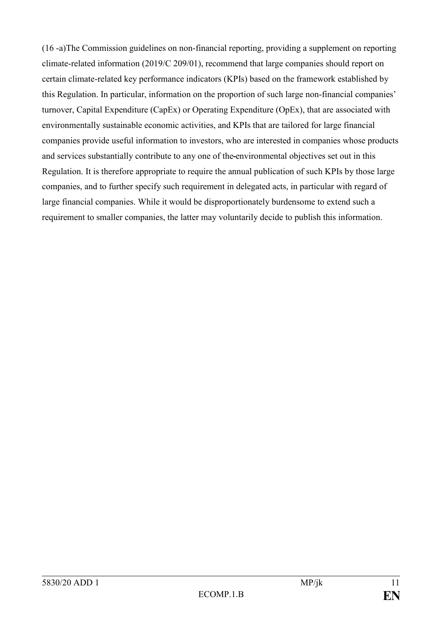(16 -a)The Commission guidelines on non-financial reporting, providing a supplement on reporting climate-related information (2019/C 209/01), recommend that large companies should report on certain climate-related key performance indicators (KPIs) based on the framework established by this Regulation. In particular, information on the proportion of such large non-financial companies' turnover, Capital Expenditure (CapEx) or Operating Expenditure (OpEx), that are associated with environmentally sustainable economic activities, and KPIs that are tailored for large financial companies provide useful information to investors, who are interested in companies whose products and services substantially contribute to any one of the environmental objectives set out in this Regulation. It is therefore appropriate to require the annual publication of such KPIs by those large companies, and to further specify such requirement in delegated acts, in particular with regard of large financial companies. While it would be disproportionately burdensome to extend such a requirement to smaller companies, the latter may voluntarily decide to publish this information.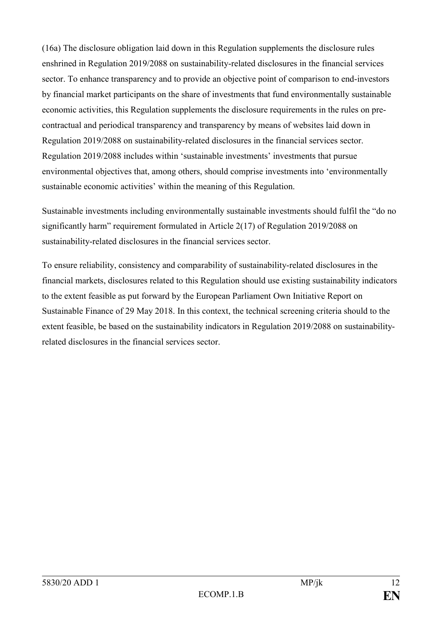(16a) The disclosure obligation laid down in this Regulation supplements the disclosure rules enshrined in Regulation 2019/2088 on sustainability-related disclosures in the financial services sector. To enhance transparency and to provide an objective point of comparison to end-investors by financial market participants on the share of investments that fund environmentally sustainable economic activities, this Regulation supplements the disclosure requirements in the rules on precontractual and periodical transparency and transparency by means of websites laid down in Regulation 2019/2088 on sustainability-related disclosures in the financial services sector. Regulation 2019/2088 includes within 'sustainable investments' investments that pursue environmental objectives that, among others, should comprise investments into 'environmentally sustainable economic activities' within the meaning of this Regulation.

Sustainable investments including environmentally sustainable investments should fulfil the "do no significantly harm" requirement formulated in Article 2(17) of Regulation 2019/2088 on sustainability-related disclosures in the financial services sector.

To ensure reliability, consistency and comparability of sustainability-related disclosures in the financial markets, disclosures related to this Regulation should use existing sustainability indicators to the extent feasible as put forward by the European Parliament Own Initiative Report on Sustainable Finance of 29 May 2018. In this context, the technical screening criteria should to the extent feasible, be based on the sustainability indicators in Regulation 2019/2088 on sustainabilityrelated disclosures in the financial services sector.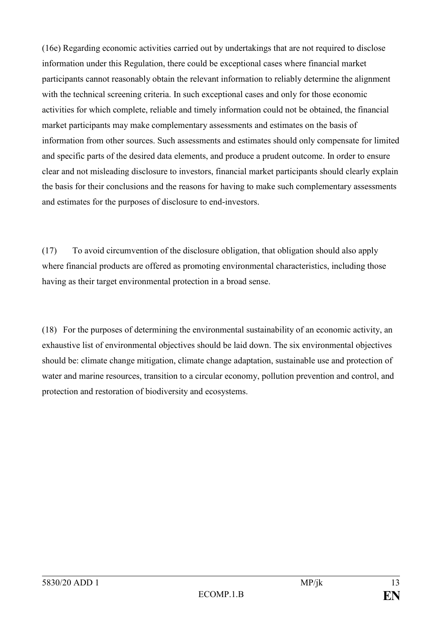(16e) Regarding economic activities carried out by undertakings that are not required to disclose information under this Regulation, there could be exceptional cases where financial market participants cannot reasonably obtain the relevant information to reliably determine the alignment with the technical screening criteria. In such exceptional cases and only for those economic activities for which complete, reliable and timely information could not be obtained, the financial market participants may make complementary assessments and estimates on the basis of information from other sources. Such assessments and estimates should only compensate for limited and specific parts of the desired data elements, and produce a prudent outcome. In order to ensure clear and not misleading disclosure to investors, financial market participants should clearly explain the basis for their conclusions and the reasons for having to make such complementary assessments and estimates for the purposes of disclosure to end-investors.

(17) To avoid circumvention of the disclosure obligation, that obligation should also apply where financial products are offered as promoting environmental characteristics, including those having as their target environmental protection in a broad sense.

(18) For the purposes of determining the environmental sustainability of an economic activity, an exhaustive list of environmental objectives should be laid down. The six environmental objectives should be: climate change mitigation, climate change adaptation, sustainable use and protection of water and marine resources, transition to a circular economy, pollution prevention and control, and protection and restoration of biodiversity and ecosystems.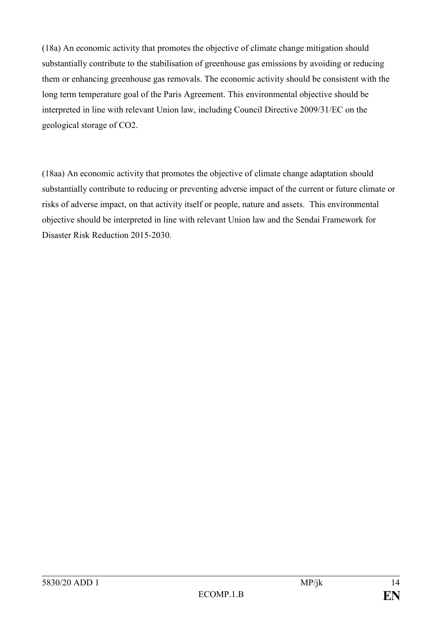(18a) An economic activity that promotes the objective of climate change mitigation should substantially contribute to the stabilisation of greenhouse gas emissions by avoiding or reducing them or enhancing greenhouse gas removals. The economic activity should be consistent with the long term temperature goal of the Paris Agreement. This environmental objective should be interpreted in line with relevant Union law, including Council Directive 2009/31/EC on the geological storage of CO2.

(18aa) An economic activity that promotes the objective of climate change adaptation should substantially contribute to reducing or preventing adverse impact of the current or future climate or risks of adverse impact, on that activity itself or people, nature and assets. This environmental objective should be interpreted in line with relevant Union law and the Sendai Framework for Disaster Risk Reduction 2015-2030.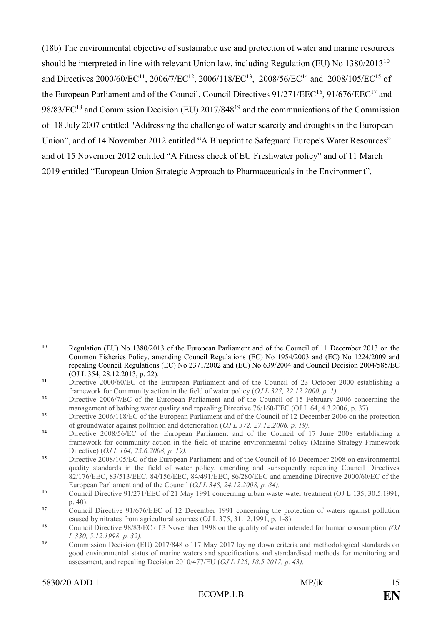(18b) The environmental objective of sustainable use and protection of water and marine resources should be interpreted in line with relevant Union law, including Regulation (EU) No 1380/2013<sup>10</sup> and Directives 2000/60/EC<sup>11</sup>, 2006/7/EC<sup>12</sup>, 2006/118/EC<sup>13</sup>, 2008/56/EC<sup>14</sup> and 2008/105/EC<sup>15</sup> of the European Parliament and of the Council, Council Directives  $91/271/EEC^{16}$ ,  $91/676/EEC^{17}$  and 98/83/EC<sup>18</sup> and Commission Decision (EU) 2017/848<sup>19</sup> and the communications of the Commission of 18 July 2007 entitled "Addressing the challenge of water scarcity and droughts in the European Union", and of 14 November 2012 entitled "A Blueprint to Safeguard Europe's Water Resources" and of 15 November 2012 entitled "A Fitness check of EU Freshwater policy" and of 11 March 2019 entitled "European Union Strategic Approach to Pharmaceuticals in the Environment".

<sup>1</sup> **<sup>10</sup>** Regulation (EU) No 1380/2013 of the European Parliament and of the Council of 11 December 2013 on the Common Fisheries Policy, amending Council Regulations (EC) No 1954/2003 and (EC) No 1224/2009 and repealing Council Regulations (EC) No 2371/2002 and (EC) No 639/2004 and Council Decision 2004/585/EC (OJ L 354, 28.12.2013, p. 22).

**<sup>11</sup>** Directive 2000/60/EC of the European Parliament and of the Council of 23 October 2000 establishing a framework for Community action in the field of water policy (*OJ L 327, 22.12.2000, p. 1).*

**<sup>12</sup>** Directive 2006/7/EC of the European Parliament and of the Council of 15 February 2006 concerning the management of bathing water quality and repealing Directive 76/160/EEC (OJ L 64, 4.3.2006, p. 37)

**<sup>13</sup>** Directive 2006/118/EC of the European Parliament and of the Council of 12 December 2006 on the protection of groundwater against pollution and deterioration (*OJ L 372, 27.12.2006, p. 19).*

**<sup>14</sup>** Directive 2008/56/EC of the European Parliament and of the Council of 17 June 2008 establishing a framework for community action in the field of marine environmental policy (Marine Strategy Framework Directive) (*OJ L 164, 25.6.2008, p. 19).*

**<sup>15</sup>** Directive 2008/105/EC of the European Parliament and of the Council of 16 December 2008 on environmental quality standards in the field of water policy, amending and subsequently repealing Council Directives 82/176/EEC, 83/513/EEC, 84/156/EEC, 84/491/EEC, 86/280/EEC and amending Directive 2000/60/EC of the European Parliament and of the Council (*OJ L 348, 24.12.2008, p. 84).*

**<sup>16</sup>** Council Directive 91/271/EEC of 21 May 1991 concerning urban waste water treatment (OJ L 135, 30.5.1991, p. 40).

<sup>&</sup>lt;sup>17</sup> Council Directive 91/676/EEC of 12 December 1991 concerning the protection of waters against pollution caused by nitrates from agricultural sources (OJ L 375, 31.12.1991, p. 1-8).

**<sup>18</sup>** Council Directive 98/83/EC of 3 November 1998 on the quality of water intended for human consumption *(OJ L 330, 5.12.1998, p. 32).*

**<sup>19</sup>** Commission Decision (EU) 2017/848 of 17 May 2017 laying down criteria and methodological standards on good environmental status of marine waters and specifications and standardised methods for monitoring and assessment, and repealing Decision 2010/477/EU (*OJ L 125, 18.5.2017, p. 43).*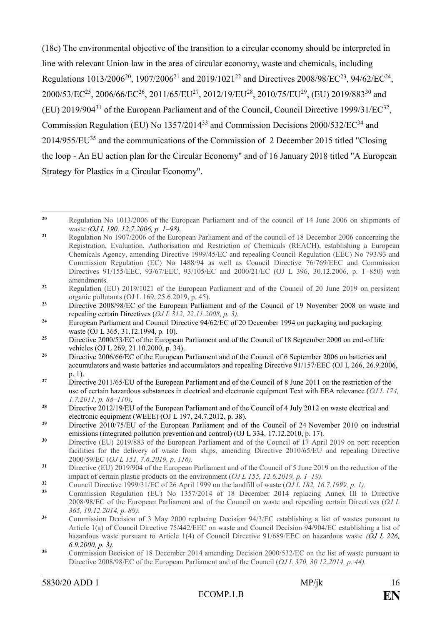(18c) The environmental objective of the transition to a circular economy should be interpreted in line with relevant Union law in the area of circular economy, waste and chemicals, including Regulations 1013/2006<sup>20</sup>, 1907/2006<sup>21</sup> and 2019/1021<sup>22</sup> and Directives 2008/98/EC<sup>23</sup>, 94/62/EC<sup>24</sup>,  $2000/53/EC^{25}$ ,  $2006/66/EC^{26}$ ,  $2011/65/EU^{27}$ ,  $2012/19/EU^{28}$ ,  $2010/75/EU^{29}$ , (EU)  $2019/883^{30}$  and (EU) 2019/904<sup>31</sup> of the European Parliament and of the Council, Council Directive 1999/31/EC<sup>32</sup>, Commission Regulation [\(EU\) No 1357/2014](https://eur-lex.europa.eu/legal-content/EN/TXT/?uri=CELEX:32014R1357)<sup>33</sup> and Commission [Decisions 2000/532/EC](https://eur-lex.europa.eu/legal-content/EN/TXT/?uri=CELEX:32000D0532)<sup>34</sup> and [2014/955/EU](https://eur-lex.europa.eu/legal-content/EN/TXT/?uri=CELEX:32014D0955)<sup>35</sup> and the communications of the Commission of 2 December 2015 titled "Closing the loop - An EU action plan for the Circular Economy" and of 16 January 2018 titled "A European Strategy for Plastics in a Circular Economy".

- **<sup>32</sup>** Council Directive 1999/31/EC of 26 April 1999 on the landfill of waste (*OJ L 182, 16.7.1999, p. 1).*
- **<sup>33</sup>** Commission Regulation (EU) No 1357/2014 of 18 December 2014 replacing Annex III to Directive 2008/98/EC of the European Parliament and of the Council on waste and repealing certain Directives (*OJ L 365, 19.12.2014, p. 89).*
- **<sup>34</sup>** Commission Decision of 3 May 2000 replacing Decision 94/3/EC establishing a list of wastes pursuant to Article 1(a) of Council Directive 75/442/EEC on waste and Council Decision 94/904/EC establishing a list of hazardous waste pursuant to Article 1(4) of Council Directive 91/689/EEC on hazardous waste *(OJ L 226, 6.9.2000, p. 3).*
- **<sup>35</sup>** Commission Decision of 18 December 2014 amending Decision 2000/532/EC on the list of waste pursuant to Directive 2008/98/EC of the European Parliament and of the Council (*OJ L 370, 30.12.2014, p. 44).*

<sup>1</sup> **<sup>20</sup>** Regulation No 1013/2006 of the European Parliament and of the council of 14 June 2006 on shipments of waste *(OJ L 190, 12.7.2006, p. 1–98).*

<sup>&</sup>lt;sup>21</sup> Regulation No 1907/2006 of the European Parliament and of the council of 18 December 2006 concerning the Registration, Evaluation, Authorisation and Restriction of Chemicals (REACH), establishing a European Chemicals Agency, amending Directive 1999/45/EC and repealing Council Regulation (EEC) No 793/93 and Commission Regulation (EC) No 1488/94 as well as Council Directive 76/769/EEC and Commission Directives 91/155/EEC, 93/67/EEC, 93/105/EC and 2000/21/EC (OJ L 396, 30.12.2006, p. 1–850) with amendments.

**<sup>22</sup>** Regulation (EU) 2019/1021 of the European Parliament and of the Council of 20 June 2019 on persistent organic pollutants (OJ L 169, 25.6.2019, p. 45).

<sup>&</sup>lt;sup>23</sup> Directive 2008/98/EC of the European Parliament and of the Council of 19 November 2008 on waste and repealing certain Directives (*OJ L 312, 22.11.2008, p. 3).*

**<sup>24</sup>** European Parliament and Council Directive 94/62/EC of 20 December 1994 on packaging and packaging waste (OJ L 365, 31.12.1994, p. 10).

<sup>&</sup>lt;sup>25</sup> Directive 2000/53/EC of the European Parliament and of the Council of 18 September 2000 on end-of life vehicles (OJ L 269, 21.10.2000, p. 34).

<sup>&</sup>lt;sup>26</sup> Directive 2006/66/EC of the European Parliament and of the Council of 6 September 2006 on batteries and accumulators and waste batteries and accumulators and repealing Directive 91/157/EEC (OJ L 266, 26.9.2006, p. 1).

<sup>&</sup>lt;sup>27</sup> Directive 2011/65/EU of the European Parliament and of the Council of 8 June 2011 on the restriction of the use of certain hazardous substances in electrical and electronic equipment Text with EEA relevance (*OJ L 174, 1.7.2011, p. 88–110)*.

<sup>&</sup>lt;sup>28</sup> Directive 2012/19/EU of the European Parliament and of the Council of 4 July 2012 on waste electrical and electronic equipment (WEEE) (OJ L 197, 24.7.2012, p. 38).

<sup>&</sup>lt;sup>29</sup> Directive 2010/75/EU of the European Parliament and of the Council of 24 November 2010 on industrial emissions (integrated pollution prevention and control) (OJ L 334, 17.12.2010, p. 17).

**<sup>30</sup>** Directive (EU) 2019/883 of the European Parliament and of the Council of 17 April 2019 on port reception facilities for the delivery of waste from ships, amending Directive 2010/65/EU and repealing Directive 2000/59/EC (*OJ L 151, 7.6.2019, p. 116).* 

**<sup>31</sup>** Directive (EU) 2019/904 of the European Parliament and of the Council of 5 June 2019 on the reduction of the impact of certain plastic products on the environment (*OJ L 155, 12.6.2019, p. 1–19).*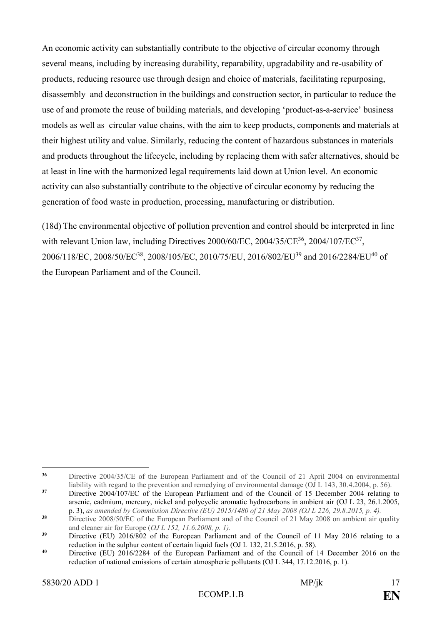An economic activity can substantially contribute to the objective of circular economy through several means, including by increasing durability, reparability, upgradability and re-usability of products, reducing resource use through design and choice of materials, facilitating repurposing, disassembly and deconstruction in the buildings and construction sector, in particular to reduce the use of and promote the reuse of building materials, and developing 'product-as-a-service' business models as well as circular value chains, with the aim to keep products, components and materials at their highest utility and value. Similarly, reducing the content of hazardous substances in materials and products throughout the lifecycle, including by replacing them with safer alternatives, should be at least in line with the harmonized legal requirements laid down at Union level. An economic activity can also substantially contribute to the objective of circular economy by reducing the generation of food waste in production, processing, manufacturing or distribution.

(18d) The environmental objective of pollution prevention and control should be interpreted in line with relevant Union law, including Directives  $2000/60$ /EC,  $2004/35$ /CE<sup>36</sup>,  $2004/107$ /EC<sup>37</sup>, 2006/118/EC, 2008/50/EC<sup>38</sup>, 2008/105/EC, 2010/75/EU, 2016/802/EU<sup>39</sup> and 2016/2284/EU<sup>40</sup> of the European Parliament and of the Council.

 $36$ Directive 2004/35/CE of the European Parliament and of the Council of 21 April 2004 on environmental liability with regard to the prevention and remedying of environmental damage (OJ L 143, 30.4.2004, p. 56).

<sup>&</sup>lt;sup>37</sup> Directive 2004/107/EC of the European Parliament and of the Council of 15 December 2004 relating to arsenic, cadmium, mercury, nickel and polycyclic aromatic hydrocarbons in ambient air (OJ L 23, 26.1.2005, p. 3), *as amended by Commission Directive (EU) 2015/1480 of 21 May 2008 (OJ L 226, 29.8.2015, p. 4).*

<sup>&</sup>lt;sup>38</sup> Directive 2008/50/EC of the European Parliament and of the Council of 21 May 2008 on ambient air quality and cleaner air for Europe (*OJ L 152, 11.6.2008, p. 1).*

<sup>&</sup>lt;sup>39</sup> Directive (EU) 2016/802 of the European Parliament and of the Council of 11 May 2016 relating to a reduction in the sulphur content of certain liquid fuels (OJ L 132, 21.5.2016, p. 58).

**<sup>40</sup>** Directive (EU) 2016/2284 of the European Parliament and of the Council of 14 December 2016 on the reduction of national emissions of certain atmospheric pollutants (OJ L 344, 17.12.2016, p. 1).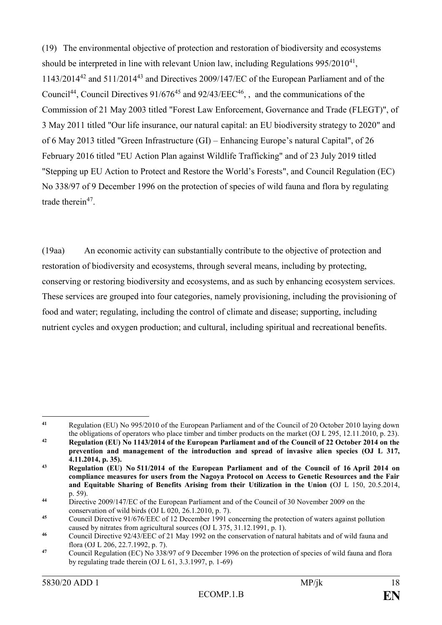(19) The environmental objective of protection and restoration of biodiversity and ecosystems should be interpreted in line with relevant Union law, including Regulations 995/2010<sup>41</sup>, 1143/2014<sup>42</sup> and 511/2014<sup>43</sup> and Directives 2009/147/EC of the European Parliament and of the Council<sup>44</sup>, Council Directives  $91/676^{45}$  and  $92/43/EEC^{46}$ , and the communications of the Commission of 21 May 2003 titled "Forest Law Enforcement, Governance and Trade (FLEGT)", of 3 May 2011 titled "Our life insurance, our natural capital: an EU biodiversity strategy to 2020" and of 6 May 2013 titled "Green Infrastructure (GI) – Enhancing Europe's natural Capital", of 26 February 2016 titled "EU Action Plan against Wildlife Trafficking" and of 23 July 2019 titled "[Stepping up EU Action to Protect and Restore the World's Forests](https://eur-lex.europa.eu/legal-content/EN/TXT/?qid=1565272554103&uri=CELEX:52019DC0352)", and Council Regulation (EC) No 338/97 of 9 December 1996 on the protection of species of wild fauna and flora by regulating trade therein<sup>47</sup>.

(19aa) An economic activity can substantially contribute to the objective of protection and restoration of biodiversity and ecosystems, through several means, including by protecting, conserving or restoring biodiversity and ecosystems, and as such by enhancing ecosystem services. These services are grouped into four categories, namely provisioning, including the provisioning of food and water; regulating, including the control of climate and disease; supporting, including nutrient cycles and oxygen production; and cultural, including spiritual and recreational benefits.

<sup>&</sup>lt;u>.</u> **<sup>41</sup>** Regulation (EU) No 995/2010 of the European Parliament and of the Council of 20 October 2010 laying down the obligations of operators who place timber and timber products on the market (OJ L 295, 12.11.2010, p. 23). **<sup>42</sup> Regulation (EU) No 1143/2014 of the European Parliament and of the Council of 22 October 2014 on the** 

**prevention and management of the introduction and spread of invasive alien species (OJ L 317, 4.11.2014, p. 35).**

**<sup>43</sup> Regulation (EU) No 511/2014 of the European Parliament and of the Council of 16 April 2014 on compliance measures for users from the Nagoya Protocol on Access to Genetic Resources and the Fair and Equitable Sharing of Benefits Arising from their Utilization in the Union (**OJ L 150, 20.5.2014, p. 59).

<sup>&</sup>lt;sup>44</sup> Directive 2009/147/EC of the European Parliament and of the Council of 30 November 2009 on the conservation of wild birds (OJ L 020, 26.1.2010, p. 7).

**<sup>45</sup>** Council Directive 91/676/EEC of 12 December 1991 concerning the protection of waters against pollution caused by nitrates from agricultural sources (OJ L 375, 31.12.1991, p. 1).

**<sup>46</sup>** Council Directive 92/43/EEC of 21 May 1992 on the conservation of natural habitats and of wild fauna and flora (OJ L 206, 22.7.1992, p. 7).

<sup>&</sup>lt;sup>47</sup> Council Regulation (EC) No 338/97 of 9 December 1996 on the protection of species of wild fauna and flora by regulating trade therein (OJ L 61, 3.3.1997, p. 1-69)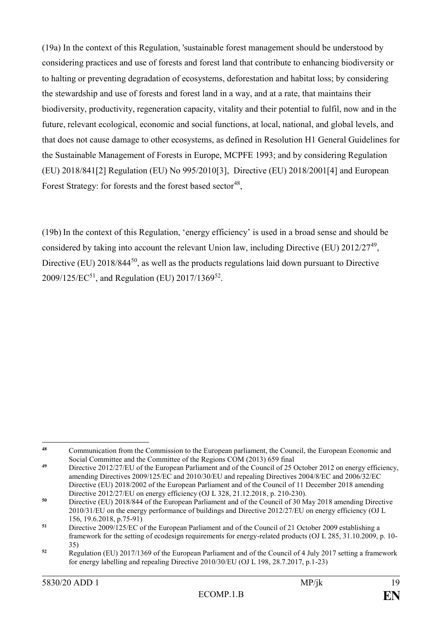(19a) In the context of this Regulation, 'sustainable forest management should be understood by considering practices and use of forests and forest land that contribute to enhancing biodiversity or to halting or preventing degradation of ecosystems, deforestation and habitat loss; by considering the stewardship and use of forests and forest land in a way, and at a rate, that maintains their biodiversity, productivity, regeneration capacity, vitality and their potential to fulfil, now and in the future, relevant ecological, economic and social functions, at local, national, and global levels, and that does not cause damage to other ecosystems, as defined in Resolution H1 General Guidelines for the Sustainable Management of Forests in Europe, MCPFE 1993; and by considering Regulation (EU) 2018/84[1\[2\]](https://webmailpp.ep.europa.eu/owa/#x__ftn2) Regulation (EU) No 995/201[0\[3\],](https://webmailpp.ep.europa.eu/owa/#x__ftn3) Directive (EU) 2018/200[1\[4\]](https://webmailpp.ep.europa.eu/owa/#x__ftn4) and European Forest Strategy: for forests and the forest based sector<sup>48</sup>,

(19b) In the context of this Regulation, 'energy efficiency' is used in a broad sense and should be considered by taking into account the relevant Union law, including Directive (EU) 2012/27<sup>49</sup>, Directive (EU) 2018/844<sup>50</sup>, as well as the products regulations laid down pursuant to Directive  $2009/125/EC^{51}$ , and Regulation (EU) 2017/1369<sup>52</sup>.

<sup>1</sup> **<sup>48</sup>** Communication from the Commission to the European parliament, the Council, the European Economic and Social Committee and the Committee of the Regions COM (2013) 659 final

<sup>&</sup>lt;sup>49</sup> Directive 2012/27/EU of the European Parliament and of the Council of 25 October 2012 on energy efficiency, amending Directives 2009/125/EC and 2010/30/EU and repealing Directives 2004/8/EC and 2006/32/EC Directive (EU) 2018/2002 of the European Parliament and of the Council of 11 December 2018 amending Directive 2012/27/EU on energy efficiency (OJ L 328, 21.12.2018, p. 210-230).

**<sup>50</sup>** Directive (EU) 2018/844 of the European Parliament and of the Council of 30 May 2018 amending Directive 2010/31/EU on the energy performance of buildings and Directive 2012/27/EU on energy efficiency (OJ L 156, 19.6.2018, p.75-91)

<sup>&</sup>lt;sup>51</sup> Directive 2009/125/EC of the European Parliament and of the Council of 21 October 2009 establishing a framework for the setting of ecodesign requirements for energy-related products (OJ L 285, 31.10.2009, p. 10- 35)

**<sup>52</sup>** Regulation (EU) 2017/1369 of the European Parliament and of the Council of 4 July 2017 setting a framework for energy labelling and repealing Directive 2010/30/EU (OJ L 198, 28.7.2017, p.1-23)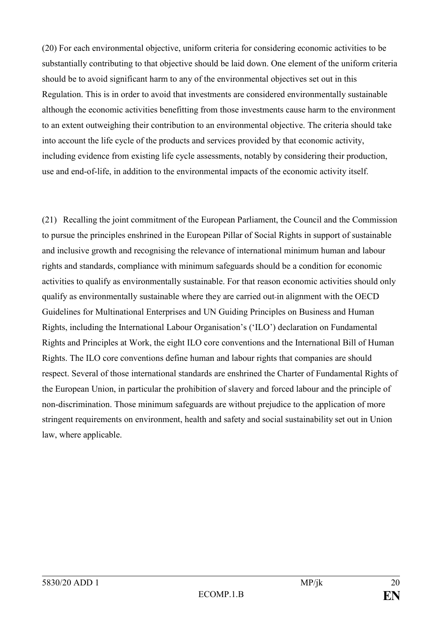(20) For each environmental objective, uniform criteria for considering economic activities to be substantially contributing to that objective should be laid down. One element of the uniform criteria should be to avoid significant harm to any of the environmental objectives set out in this Regulation. This is in order to avoid that investments are considered environmentally sustainable although the economic activities benefitting from those investments cause harm to the environment to an extent outweighing their contribution to an environmental objective. The criteria should take into account the life cycle of the products and services provided by that economic activity, including evidence from existing life cycle assessments, notably by considering their production, use and end-of-life, in addition to the environmental impacts of the economic activity itself.

(21) Recalling the joint commitment of the European Parliament, the Council and the Commission to pursue the principles enshrined in the European Pillar of Social Rights in support of sustainable and inclusive growth and recognising the relevance of international minimum human and labour rights and standards, compliance with minimum safeguards should be a condition for economic activities to qualify as environmentally sustainable. For that reason economic activities should only qualify as environmentally sustainable where they are carried out in alignment with the OECD Guidelines for Multinational Enterprises and UN Guiding Principles on Business and Human Rights, including the International Labour Organisation's ('ILO') declaration on Fundamental Rights and Principles at Work, the eight ILO core conventions and the International Bill of Human Rights. The ILO core conventions define human and labour rights that companies are should respect. Several of those international standards are enshrined the Charter of Fundamental Rights of the European Union, in particular the prohibition of slavery and forced labour and the principle of non-discrimination. Those minimum safeguards are without prejudice to the application of more stringent requirements on environment, health and safety and social sustainability set out in Union law, where applicable.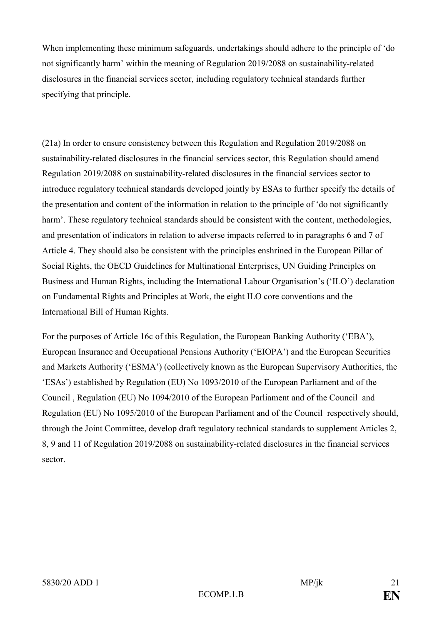When implementing these minimum safeguards, undertakings should adhere to the principle of 'do not significantly harm' within the meaning of Regulation 2019/2088 on sustainability-related disclosures in the financial services sector, including regulatory technical standards further specifying that principle.

(21a) In order to ensure consistency between this Regulation and Regulation 2019/2088 on sustainability-related disclosures in the financial services sector, this Regulation should amend Regulation 2019/2088 on sustainability-related disclosures in the financial services sector to introduce regulatory technical standards developed jointly by ESAs to further specify the details of the presentation and content of the information in relation to the principle of 'do not significantly harm'. These regulatory technical standards should be consistent with the content, methodologies, and presentation of indicators in relation to adverse impacts referred to in paragraphs 6 and 7 of Article 4. They should also be consistent with the principles enshrined in the European Pillar of Social Rights, the OECD Guidelines for Multinational Enterprises, UN Guiding Principles on Business and Human Rights, including the International Labour Organisation's ('ILO') declaration on Fundamental Rights and Principles at Work, the eight ILO core conventions and the International Bill of Human Rights.

For the purposes of Article 16c of this Regulation, the European Banking Authority ('EBA'), European Insurance and Occupational Pensions Authority ('EIOPA') and the European Securities and Markets Authority ('ESMA') (collectively known as the European Supervisory Authorities, the 'ESAs') established by Regulation (EU) No 1093/2010 of the European Parliament and of the Council , Regulation (EU) No 1094/2010 of the European Parliament and of the Council and Regulation (EU) No 1095/2010 of the European Parliament and of the Council respectively should, through the Joint Committee, develop draft regulatory technical standards to supplement Articles 2, 8, 9 and 11 of Regulation 2019/2088 on sustainability-related disclosures in the financial services sector.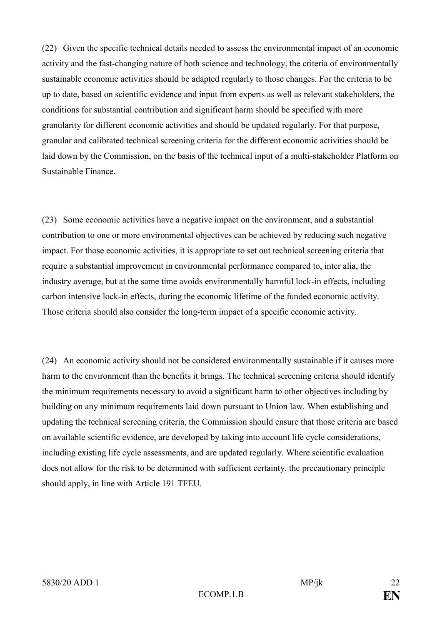(22) Given the specific technical details needed to assess the environmental impact of an economic activity and the fast-changing nature of both science and technology, the criteria of environmentally sustainable economic activities should be adapted regularly to those changes. For the criteria to be up to date, based on scientific evidence and input from experts as well as relevant stakeholders, the conditions for substantial contribution and significant harm should be specified with more granularity for different economic activities and should be updated regularly. For that purpose, granular and calibrated technical screening criteria for the different economic activities should be laid down by the Commission, on the basis of the technical input of a multi-stakeholder Platform on Sustainable Finance.

(23) Some economic activities have a negative impact on the environment, and a substantial contribution to one or more environmental objectives can be achieved by reducing such negative impact. For those economic activities, it is appropriate to set out technical screening criteria that require a substantial improvement in environmental performance compared to, inter alia, the industry average, but at the same time avoids environmentally harmful lock-in effects, including carbon intensive lock-in effects, during the economic lifetime of the funded economic activity. Those criteria should also consider the long-term impact of a specific economic activity.

(24) An economic activity should not be considered environmentally sustainable if it causes more harm to the environment than the benefits it brings. The technical screening criteria should identify the minimum requirements necessary to avoid a significant harm to other objectives including by building on any minimum requirements laid down pursuant to Union law. When establishing and updating the technical screening criteria, the Commission should ensure that those criteria are based on available scientific evidence, are developed by taking into account life cycle considerations, including existing life cycle assessments, and are updated regularly. Where scientific evaluation does not allow for the risk to be determined with sufficient certainty, the precautionary principle should apply, in line with Article 191 TFEU.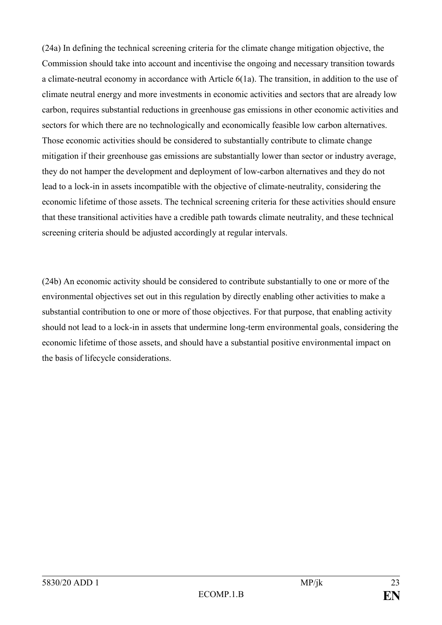(24a) In defining the technical screening criteria for the climate change mitigation objective, the Commission should take into account and incentivise the ongoing and necessary transition towards a climate-neutral economy in accordance with Article 6(1a). The transition, in addition to the use of climate neutral energy and more investments in economic activities and sectors that are already low carbon, requires substantial reductions in greenhouse gas emissions in other economic activities and sectors for which there are no technologically and economically feasible low carbon alternatives. Those economic activities should be considered to substantially contribute to climate change mitigation if their greenhouse gas emissions are substantially lower than sector or industry average, they do not hamper the development and deployment of low-carbon alternatives and they do not lead to a lock-in in assets incompatible with the objective of climate-neutrality, considering the economic lifetime of those assets. The technical screening criteria for these activities should ensure that these transitional activities have a credible path towards climate neutrality, and these technical screening criteria should be adjusted accordingly at regular intervals.

(24b) An economic activity should be considered to contribute substantially to one or more of the environmental objectives set out in this regulation by directly enabling other activities to make a substantial contribution to one or more of those objectives. For that purpose, that enabling activity should not lead to a lock-in in assets that undermine long-term environmental goals, considering the economic lifetime of those assets, and should have a substantial positive environmental impact on the basis of lifecycle considerations.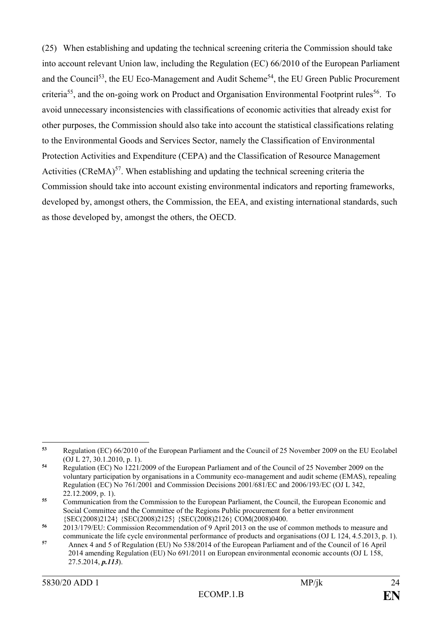(25) When establishing and updating the technical screening criteria the Commission should take into account relevant Union law, including the Regulation (EC) 66/2010 of the European Parliament and the Council<sup>53</sup>, the EU Eco-Management and Audit Scheme<sup>54</sup>, the EU Green Public Procurement criteria<sup>55</sup>, and the on-going work on Product and Organisation Environmental Footprint rules<sup>56</sup>. To avoid unnecessary inconsistencies with classifications of economic activities that already exist for other purposes, the Commission should also take into account the statistical classifications relating to the Environmental Goods and Services Sector, namely the Classification of Environmental Protection Activities and Expenditure (CEPA) and the Classification of Resource Management Activities (CReMA) $57$ . When establishing and updating the technical screening criteria the Commission should take into account existing environmental indicators and reporting frameworks, developed by, amongst others, the Commission, the EEA, and existing international standards, such as those developed by, amongst the others, the OECD.

<sup>1</sup> **<sup>53</sup>** Regulation (EC) 66/2010 of the European Parliament and the Council of 25 November 2009 on the EU Ecolabel (OJ L 27, 30.1.2010, p. 1).

**<sup>54</sup>** Regulation (EC) No 1221/2009 of the European Parliament and of the Council of 25 November 2009 on the voluntary participation by organisations in a Community eco-management and audit scheme (EMAS), repealing Regulation (EC) No 761/2001 and Commission Decisions 2001/681/EC and 2006/193/EC (OJ L 342, 22.12.2009, p. 1).

**<sup>55</sup>** Communication from the Commission to the European Parliament, the Council, the European Economic and Social Committee and the Committee of the Regions Public procurement for a better environment {SEC(2008)2124} {SEC(2008)2125} {SEC(2008)2126} COM(2008)0400.

**<sup>56</sup>** 2013/179/EU: Commission Recommendation of 9 April 2013 on the use of common methods to measure and communicate the life cycle environmental performance of products and organisations (OJ L 124, 4.5.2013, p. 1).

**<sup>57</sup>** Annex 4 and 5 of Regulation (EU) No 538/2014 of the European Parliament and of the Council of 16 April 2014 amending Regulation (EU) No 691/2011 on European environmental economic accounts (OJ L 158, 27.5.2014, *p.113*).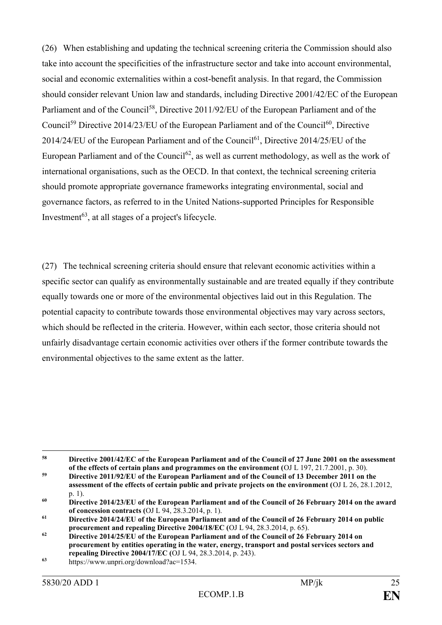(26) When establishing and updating the technical screening criteria the Commission should also take into account the specificities of the infrastructure sector and take into account environmental, social and economic externalities within a cost-benefit analysis. In that regard, the Commission should consider relevant Union law and standards, including Directive 2001/42/EC of the European Parliament and of the Council<sup>58</sup>, Directive 2011/92/EU of the European Parliament and of the Council<sup>59</sup> Directive 2014/23/EU of the European Parliament and of the Council<sup>60</sup>, Directive  $2014/24/EU$  of the European Parliament and of the Council<sup>61</sup>, Directive  $2014/25/EU$  of the European Parliament and of the Council<sup>62</sup>, as well as current methodology, as well as the work of international organisations, such as the OECD. In that context, the technical screening criteria should promote appropriate governance frameworks integrating environmental, social and governance factors, as referred to in the United Nations-supported Principles for Responsible Investment $63$ , at all stages of a project's lifecycle.

(27) The technical screening criteria should ensure that relevant economic activities within a specific sector can qualify as environmentally sustainable and are treated equally if they contribute equally towards one or more of the environmental objectives laid out in this Regulation. The potential capacity to contribute towards those environmental objectives may vary across sectors, which should be reflected in the criteria. However, within each sector, those criteria should not unfairly disadvantage certain economic activities over others if the former contribute towards the environmental objectives to the same extent as the latter.

 $58$ **<sup>58</sup> Directive 2001/42/EC of the European Parliament and of the Council of 27 June 2001 on the assessment of the effects of certain plans and programmes on the environment (**OJ L 197, 21.7.2001, p. 30).

**<sup>59</sup> Directive 2011/92/EU of the European Parliament and of the Council of 13 December 2011 on the assessment of the effects of certain public and private projects on the environment (**OJ L 26, 28.1.2012, p. 1).

**<sup>60</sup> Directive 2014/23/EU of the European Parliament and of the Council of 26 February 2014 on the award of concession contracts (**OJ L 94, 28.3.2014, p. 1).

**<sup>61</sup> Directive 2014/24/EU of the European Parliament and of the Council of 26 February 2014 on public procurement and repealing Directive 2004/18/EC (**OJ L 94, 28.3.2014, p. 65).

**<sup>62</sup> Directive 2014/25/EU of the European Parliament and of the Council of 26 February 2014 on procurement by entities operating in the water, energy, transport and postal services sectors and repealing Directive 2004/17/EC (**OJ L 94, 28.3.2014, p. 243).

**<sup>63</sup>** https://www.unpri.org/download?ac=1534.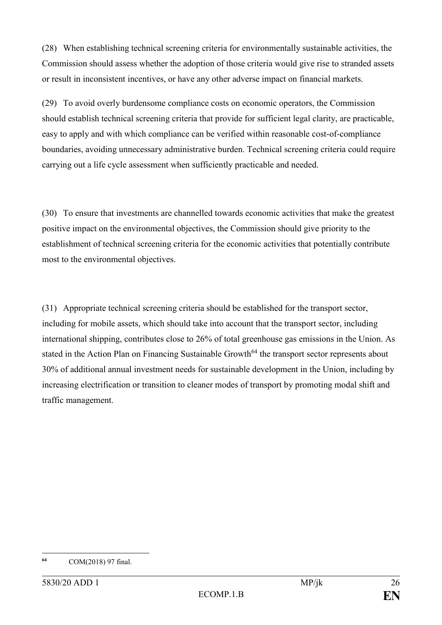(28) When establishing technical screening criteria for environmentally sustainable activities, the Commission should assess whether the adoption of those criteria would give rise to stranded assets or result in inconsistent incentives, or have any other adverse impact on financial markets.

(29) To avoid overly burdensome compliance costs on economic operators, the Commission should establish technical screening criteria that provide for sufficient legal clarity, are practicable, easy to apply and with which compliance can be verified within reasonable cost-of-compliance boundaries, avoiding unnecessary administrative burden. Technical screening criteria could require carrying out a life cycle assessment when sufficiently practicable and needed.

(30) To ensure that investments are channelled towards economic activities that make the greatest positive impact on the environmental objectives, the Commission should give priority to the establishment of technical screening criteria for the economic activities that potentially contribute most to the environmental objectives.

(31) Appropriate technical screening criteria should be established for the transport sector, including for mobile assets, which should take into account that the transport sector, including international shipping, contributes close to 26% of total greenhouse gas emissions in the Union. As stated in the Action Plan on Financing Sustainable Growth<sup>64</sup> the transport sector represents about 30% of additional annual investment needs for sustainable development in the Union, including by increasing electrification or transition to cleaner modes of transport by promoting modal shift and traffic management.

<sup>64</sup> **<sup>64</sup>** COM(2018) 97 final.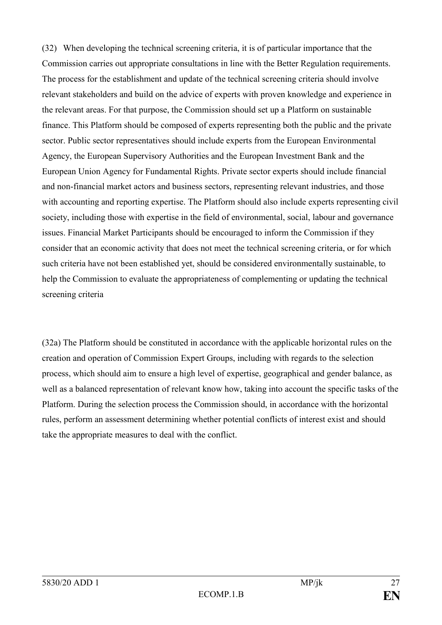(32) When developing the technical screening criteria, it is of particular importance that the Commission carries out appropriate consultations in line with the Better Regulation requirements. The process for the establishment and update of the technical screening criteria should involve relevant stakeholders and build on the advice of experts with proven knowledge and experience in the relevant areas. For that purpose, the Commission should set up a Platform on sustainable finance. This Platform should be composed of experts representing both the public and the private sector. Public sector representatives should include experts from the European Environmental Agency, the European Supervisory Authorities and the European Investment Bank and the European Union Agency for Fundamental Rights. Private sector experts should include financial and non-financial market actors and business sectors, representing relevant industries, and those with accounting and reporting expertise. The Platform should also include experts representing civil society, including those with expertise in the field of environmental, social, labour and governance issues. Financial Market Participants should be encouraged to inform the Commission if they consider that an economic activity that does not meet the technical screening criteria, or for which such criteria have not been established yet, should be considered environmentally sustainable, to help the Commission to evaluate the appropriateness of complementing or updating the technical screening criteria

(32a) The Platform should be constituted in accordance with the applicable horizontal rules on the creation and operation of Commission Expert Groups, including with regards to the selection process, which should aim to ensure a high level of expertise, geographical and gender balance, as well as a balanced representation of relevant know how, taking into account the specific tasks of the Platform. During the selection process the Commission should, in accordance with the horizontal rules, perform an assessment determining whether potential conflicts of interest exist and should take the appropriate measures to deal with the conflict.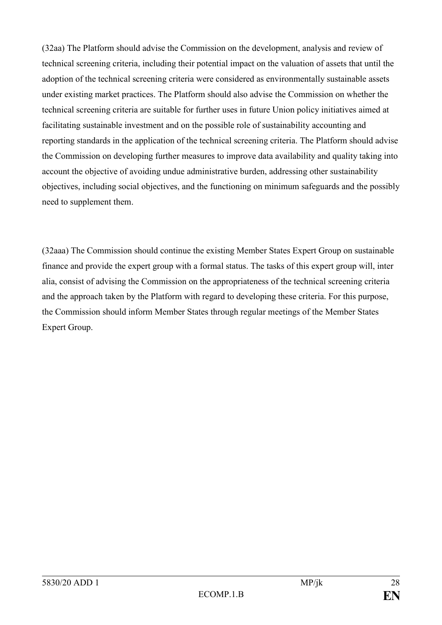(32aa) The Platform should advise the Commission on the development, analysis and review of technical screening criteria, including their potential impact on the valuation of assets that until the adoption of the technical screening criteria were considered as environmentally sustainable assets under existing market practices. The Platform should also advise the Commission on whether the technical screening criteria are suitable for further uses in future Union policy initiatives aimed at facilitating sustainable investment and on the possible role of sustainability accounting and reporting standards in the application of the technical screening criteria. The Platform should advise the Commission on developing further measures to improve data availability and quality taking into account the objective of avoiding undue administrative burden, addressing other sustainability objectives, including social objectives, and the functioning on minimum safeguards and the possibly need to supplement them.

(32aaa) The Commission should continue the existing Member States Expert Group on sustainable finance and provide the expert group with a formal status. The tasks of this expert group will, inter alia, consist of advising the Commission on the appropriateness of the technical screening criteria and the approach taken by the Platform with regard to developing these criteria. For this purpose, the Commission should inform Member States through regular meetings of the Member States Expert Group.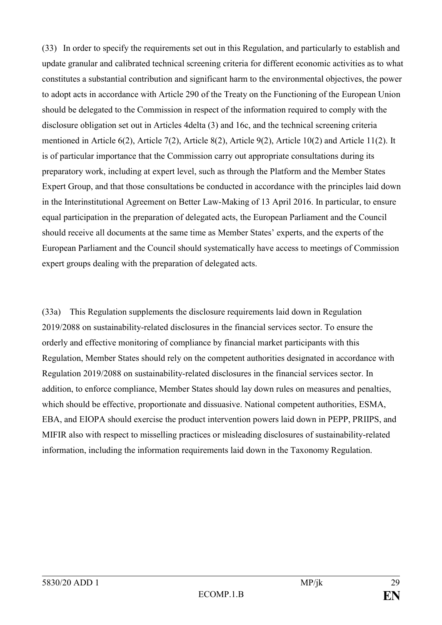(33) In order to specify the requirements set out in this Regulation, and particularly to establish and update granular and calibrated technical screening criteria for different economic activities as to what constitutes a substantial contribution and significant harm to the environmental objectives, the power to adopt acts in accordance with Article 290 of the Treaty on the Functioning of the European Union should be delegated to the Commission in respect of the information required to comply with the disclosure obligation set out in Articles 4delta (3) and 16c, and the technical screening criteria mentioned in Article 6(2), Article 7(2), Article 8(2), Article 9(2), Article 10(2) and Article 11(2). It is of particular importance that the Commission carry out appropriate consultations during its preparatory work, including at expert level, such as through the Platform and the Member States Expert Group, and that those consultations be conducted in accordance with the principles laid down in the Interinstitutional Agreement on Better Law-Making of 13 April 2016. In particular, to ensure equal participation in the preparation of delegated acts, the European Parliament and the Council should receive all documents at the same time as Member States' experts, and the experts of the European Parliament and the Council should systematically have access to meetings of Commission expert groups dealing with the preparation of delegated acts.

(33a) This Regulation supplements the disclosure requirements laid down in Regulation 2019/2088 on sustainability-related disclosures in the financial services sector. To ensure the orderly and effective monitoring of compliance by financial market participants with this Regulation, Member States should rely on the competent authorities designated in accordance with Regulation 2019/2088 on sustainability-related disclosures in the financial services sector. In addition, to enforce compliance, Member States should lay down rules on measures and penalties, which should be effective, proportionate and dissuasive. National competent authorities, ESMA, EBA, and EIOPA should exercise the product intervention powers laid down in PEPP, PRIIPS, and MIFIR also with respect to misselling practices or misleading disclosures of sustainability-related information, including the information requirements laid down in the Taxonomy Regulation.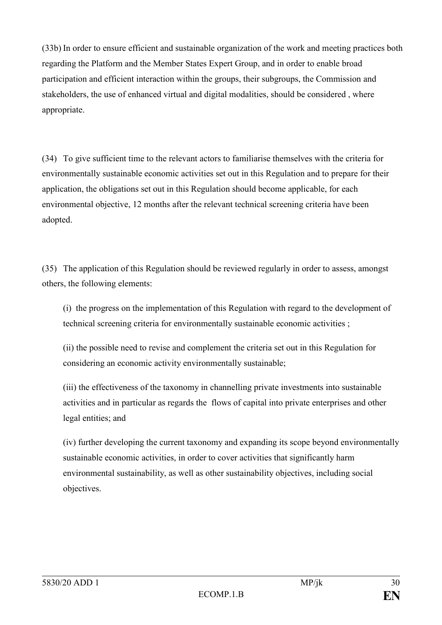(33b) In order to ensure efficient and sustainable organization of the work and meeting practices both regarding the Platform and the Member States Expert Group, and in order to enable broad participation and efficient interaction within the groups, their subgroups, the Commission and stakeholders, the use of enhanced virtual and digital modalities, should be considered , where appropriate.

(34) To give sufficient time to the relevant actors to familiarise themselves with the criteria for environmentally sustainable economic activities set out in this Regulation and to prepare for their application, the obligations set out in this Regulation should become applicable, for each environmental objective, 12 months after the relevant technical screening criteria have been adopted.

(35) The application of this Regulation should be reviewed regularly in order to assess, amongst others, the following elements:

(i) the progress on the implementation of this Regulation with regard to the development of technical screening criteria for environmentally sustainable economic activities ;

(ii) the possible need to revise and complement the criteria set out in this Regulation for considering an economic activity environmentally sustainable;

(iii) the effectiveness of the taxonomy in channelling private investments into sustainable activities and in particular as regards the flows of capital into private enterprises and other legal entities; and

(iv) further developing the current taxonomy and expanding its scope beyond environmentally sustainable economic activities, in order to cover activities that significantly harm environmental sustainability, as well as other sustainability objectives, including social objectives.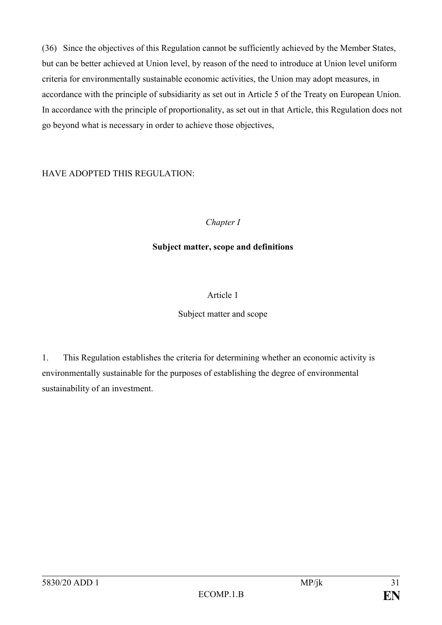(36) Since the objectives of this Regulation cannot be sufficiently achieved by the Member States, but can be better achieved at Union level, by reason of the need to introduce at Union level uniform criteria for environmentally sustainable economic activities, the Union may adopt measures, in accordance with the principle of subsidiarity as set out in Article 5 of the Treaty on European Union. In accordance with the principle of proportionality, as set out in that Article, this Regulation does not go beyond what is necessary in order to achieve those objectives,

# HAVE ADOPTED THIS REGULATION:

*Chapter I*

### **Subject matter, scope and definitions**

### Article 1

#### Subject matter and scope

1. This Regulation establishes the criteria for determining whether an economic activity is environmentally sustainable for the purposes of establishing the degree of environmental sustainability of an investment.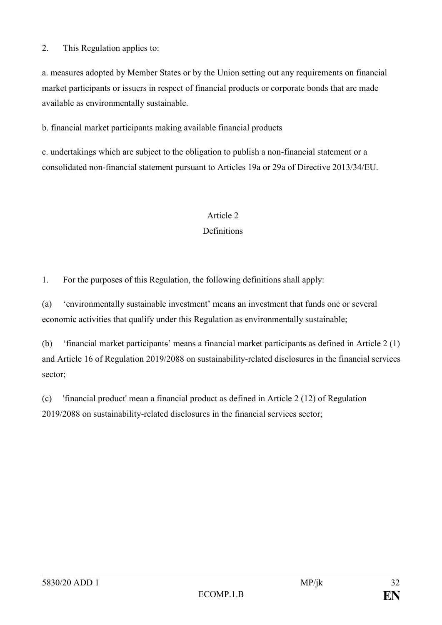2. This Regulation applies to:

a. measures adopted by Member States or by the Union setting out any requirements on financial market participants or issuers in respect of financial products or corporate bonds that are made available as environmentally sustainable.

b. financial market participants making available financial products

c. undertakings which are subject to the obligation to publish a non-financial statement or a consolidated non-financial statement pursuant to Articles 19a or 29a of Directive 2013/34/EU.

# Article 2

# Definitions

1. For the purposes of this Regulation, the following definitions shall apply:

(a) 'environmentally sustainable investment' means an investment that funds one or several economic activities that qualify under this Regulation as environmentally sustainable;

(b) 'financial market participants' means a financial market participants as defined in Article 2 (1) and Article 16 of Regulation 2019/2088 on sustainability-related disclosures in the financial services sector;

(c) 'financial product' mean a financial product as defined in Article 2 (12) of Regulation 2019/2088 on sustainability-related disclosures in the financial services sector;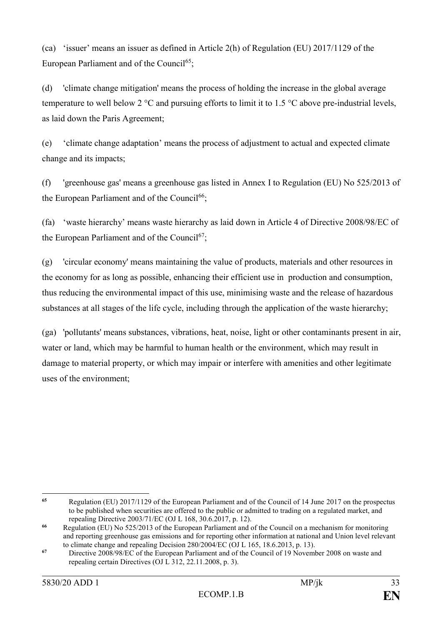(ca) 'issuer' means an issuer as defined in Article 2(h) of Regulation (EU) 2017/1129 of the European Parliament and of the Council<sup>65</sup>;

(d) 'climate change mitigation' means the process of holding the increase in the global average temperature to well below 2 °C and pursuing efforts to limit it to 1.5 °C above pre-industrial levels, as laid down the Paris Agreement;

(e) 'climate change adaptation' means the process of adjustment to actual and expected climate change and its impacts;

(f) 'greenhouse gas' means a greenhouse gas listed in Annex I to Regulation (EU) No 525/2013 of the European Parliament and of the Council<sup>66</sup>;

(fa) 'waste hierarchy' means waste hierarchy as laid down in Article 4 of Directive 2008/98/EC of the European Parliament and of the Council<sup>67</sup>;

(g) 'circular economy' means maintaining the value of products, materials and other resources in the economy for as long as possible, enhancing their efficient use in production and consumption, thus reducing the environmental impact of this use, minimising waste and the release of hazardous substances at all stages of the life cycle, including through the application of the waste hierarchy;

(ga) 'pollutants' means substances, vibrations, heat, noise, light or other contaminants present in air, water or land, which may be harmful to human health or the environment, which may result in damage to material property, or which may impair or interfere with amenities and other legitimate uses of the environment;

<sup>65</sup> **<sup>65</sup>** Regulation (EU) 2017/1129 of the European Parliament and of the Council of 14 June 2017 on the prospectus to be published when securities are offered to the public or admitted to trading on a regulated market, and repealing Directive 2003/71/EC (OJ L 168, 30.6.2017, p. 12).

**<sup>66</sup>** Regulation (EU) No 525/2013 of the European Parliament and of the Council on a mechanism for monitoring and reporting greenhouse gas emissions and for reporting other information at national and Union level relevant to climate change and repealing Decision 280/2004/EC (OJ L 165, 18.6.2013, p. 13).

**<sup>67</sup>** Directive 2008/98/EC of the European Parliament and of the Council of 19 November 2008 on waste and repealing certain Directives (OJ L 312, 22.11.2008, p. 3).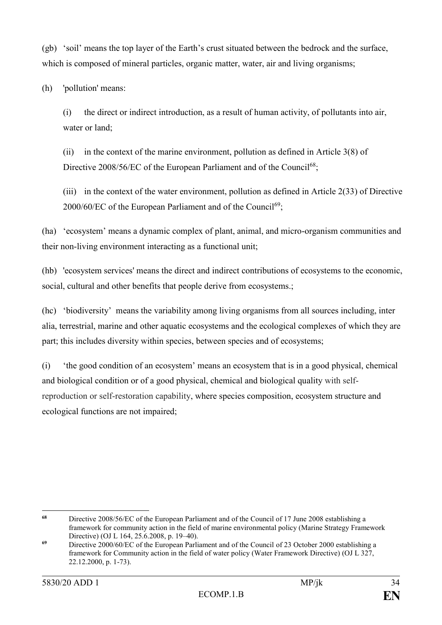(gb) 'soil' means the top layer of the Earth's crust situated between the bedrock and the surface, which is composed of mineral particles, organic matter, water, air and living organisms;

(h) 'pollution' means:

(i) the direct or indirect introduction, as a result of human activity, of pollutants into air, water or land;

(ii) in the context of the marine environment, pollution as defined in Article 3(8) of Directive 2008/56/EC of the European Parliament and of the Council<sup>68</sup>;

(iii) in the context of the water environment, pollution as defined in Article 2(33) of Directive  $2000/60$ /EC of the European Parliament and of the Council<sup>69</sup>;

(ha) 'ecosystem' means a dynamic complex of plant, animal, and micro-organism communities and their non-living environment interacting as a functional unit;

(hb) 'ecosystem services' means the direct and indirect contributions of ecosystems to the economic, social, cultural and other benefits that people derive from ecosystems.;

(hc) 'biodiversity' means the variability among living organisms from all sources including, inter alia, terrestrial, marine and other aquatic ecosystems and the ecological complexes of which they are part; this includes diversity within species, between species and of ecosystems;

(i) 'the good condition of an ecosystem' means an ecosystem that is in a good physical, chemical and biological condition or of a good physical, chemical and biological quality with selfreproduction or self-restoration capability, where species composition, ecosystem structure and ecological functions are not impaired;

<sup>68</sup> **<sup>68</sup>** Directive 2008/56/EC of the European Parliament and of the Council of 17 June 2008 establishing a framework for community action in the field of marine environmental policy (Marine Strategy Framework Directive) (OJ L 164, 25.6.2008, p. 19–40).

**<sup>69</sup>** Directive 2000/60/EC of the European Parliament and of the Council of 23 October 2000 establishing a framework for Community action in the field of water policy (Water Framework Directive) (OJ L 327, 22.12.2000, p. 1-73).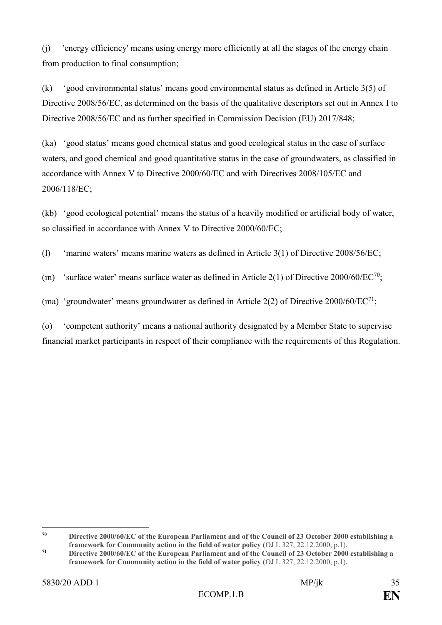(j) 'energy efficiency' means using energy more efficiently at all the stages of the energy chain from production to final consumption;

(k) 'good environmental status' means good environmental status as defined in Article 3(5) of Directive 2008/56/EC, as determined on the basis of the qualitative descriptors set out in Annex I to Directive 2008/56/EC and as further specified in Commission Decision (EU) 2017/848;

(ka) 'good status' means good chemical status and good ecological status in the case of surface waters, and good chemical and good quantitative status in the case of groundwaters, as classified in accordance with Annex V to Directive 2000/60/EC and with Directives 2008/105/EC and 2006/118/EC;

(kb) 'good ecological potential' means the status of a heavily modified or artificial body of water, so classified in accordance with Annex V to Directive 2000/60/EC;

(l) 'marine waters' means marine waters as defined in Article 3(1) of Directive 2008/56/EC;

(m) 'surface water' means surface water as defined in Article 2(1) of Directive 2000/60/EC<sup>70</sup>;

(ma) 'groundwater' means groundwater as defined in Article 2(2) of Directive 2000/60/ $EC^{71}$ ;

(o) 'competent authority' means a national authority designated by a Member State to supervise financial market participants in respect of their compliance with the requirements of this Regulation.

 $70$ **<sup>70</sup> Directive 2000/60/EC of the European Parliament and of the Council of 23 October 2000 establishing a framework for Community action in the field of water policy (**OJ L 327, 22.12.2000, p.1).

**<sup>71</sup> Directive 2000/60/EC of the European Parliament and of the Council of 23 October 2000 establishing a framework for Community action in the field of water policy (**OJ L 327, 22.12.2000, p.1).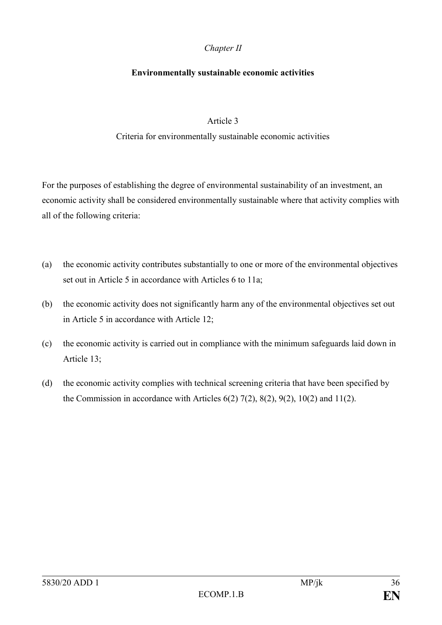#### *Chapter II*

#### **Environmentally sustainable economic activities**

#### Article 3

#### Criteria for environmentally sustainable economic activities

For the purposes of establishing the degree of environmental sustainability of an investment, an economic activity shall be considered environmentally sustainable where that activity complies with all of the following criteria:

- (a) the economic activity contributes substantially to one or more of the environmental objectives set out in Article 5 in accordance with Articles 6 to 11a;
- (b) the economic activity does not significantly harm any of the environmental objectives set out in Article 5 in accordance with Article 12;
- (c) the economic activity is carried out in compliance with the minimum safeguards laid down in Article 13;
- (d) the economic activity complies with technical screening criteria that have been specified by the Commission in accordance with Articles  $6(2)$   $7(2)$ ,  $8(2)$ ,  $9(2)$ ,  $10(2)$  and  $11(2)$ .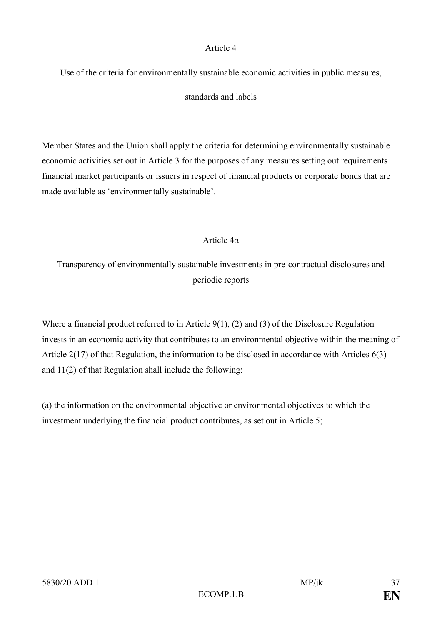#### Article 4

Use of the criteria for environmentally sustainable economic activities in public measures,

### standards and labels

Member States and the Union shall apply the criteria for determining environmentally sustainable economic activities set out in Article 3 for the purposes of any measures setting out requirements financial market participants or issuers in respect of financial products or corporate bonds that are made available as 'environmentally sustainable'.

# Article 4α

Transparency of environmentally sustainable investments in pre-contractual disclosures and periodic reports

Where a financial product referred to in Article 9(1), (2) and (3) of the Disclosure Regulation invests in an economic activity that contributes to an environmental objective within the meaning of Article 2(17) of that Regulation, the information to be disclosed in accordance with Articles 6(3) and 11(2) of that Regulation shall include the following:

(a) the information on the environmental objective or environmental objectives to which the investment underlying the financial product contributes, as set out in Article 5;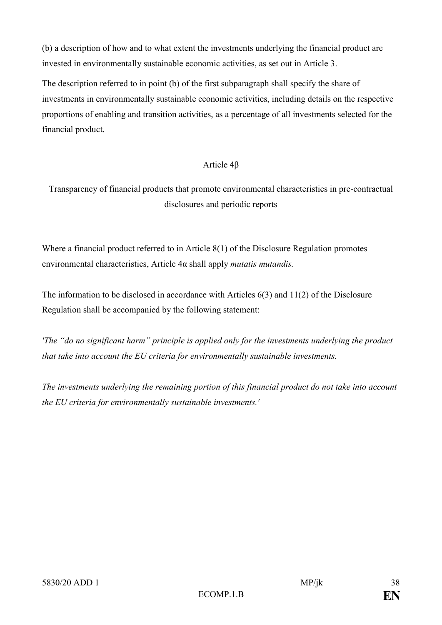(b) a description of how and to what extent the investments underlying the financial product are invested in environmentally sustainable economic activities, as set out in Article 3.

The description referred to in point (b) of the first subparagraph shall specify the share of investments in environmentally sustainable economic activities, including details on the respective proportions of enabling and transition activities, as a percentage of all investments selected for the financial product.

### Article 4β

Transparency of financial products that promote environmental characteristics in pre-contractual disclosures and periodic reports

Where a financial product referred to in Article 8(1) of the Disclosure Regulation promotes environmental characteristics, Article 4α shall apply *mutatis mutandis.*

The information to be disclosed in accordance with Articles 6(3) and 11(2) of the Disclosure Regulation shall be accompanied by the following statement:

*'The "do no significant harm" principle is applied only for the investments underlying the product that take into account the EU criteria for environmentally sustainable investments.* 

*The investments underlying the remaining portion of this financial product do not take into account the EU criteria for environmentally sustainable investments.'*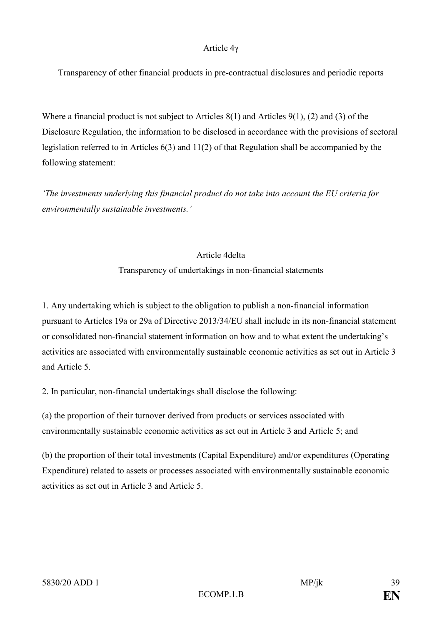#### Article 4γ

Transparency of other financial products in pre-contractual disclosures and periodic reports

Where a financial product is not subject to Articles 8(1) and Articles 9(1), (2) and (3) of the Disclosure Regulation, the information to be disclosed in accordance with the provisions of sectoral legislation referred to in Articles 6(3) and 11(2) of that Regulation shall be accompanied by the following statement:

*'The investments underlying this financial product do not take into account the EU criteria for environmentally sustainable investments.'*

#### Article 4delta

#### Transparency of undertakings in non-financial statements

1. Any undertaking which is subject to the obligation to publish a non-financial information pursuant to Articles 19a or 29a of Directive 2013/34/EU shall include in its non-financial statement or consolidated non-financial statement information on how and to what extent the undertaking's activities are associated with environmentally sustainable economic activities as set out in Article 3 and Article 5.

2. In particular, non-financial undertakings shall disclose the following:

(a) the proportion of their turnover derived from products or services associated with environmentally sustainable economic activities as set out in Article 3 and Article 5; and

(b) the proportion of their total investments (Capital Expenditure) and/or expenditures (Operating Expenditure) related to assets or processes associated with environmentally sustainable economic activities as set out in Article 3 and Article 5.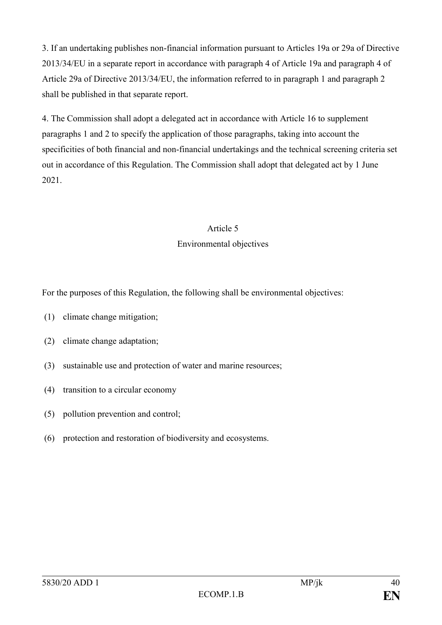3. If an undertaking publishes non-financial information pursuant to Articles 19a or 29a of Directive 2013/34/EU in a separate report in accordance with paragraph 4 of Article 19a and paragraph 4 of Article 29a of Directive 2013/34/EU, the information referred to in paragraph 1 and paragraph 2 shall be published in that separate report.

4. The Commission shall adopt a delegated act in accordance with Article 16 to supplement paragraphs 1 and 2 to specify the application of those paragraphs, taking into account the specificities of both financial and non-financial undertakings and the technical screening criteria set out in accordance of this Regulation. The Commission shall adopt that delegated act by 1 June 2021.

# Article 5 Environmental objectives

For the purposes of this Regulation, the following shall be environmental objectives:

- (1) climate change mitigation;
- (2) climate change adaptation;
- (3) sustainable use and protection of water and marine resources;
- (4) transition to a circular economy
- (5) pollution prevention and control;
- (6) protection and restoration of biodiversity and ecosystems.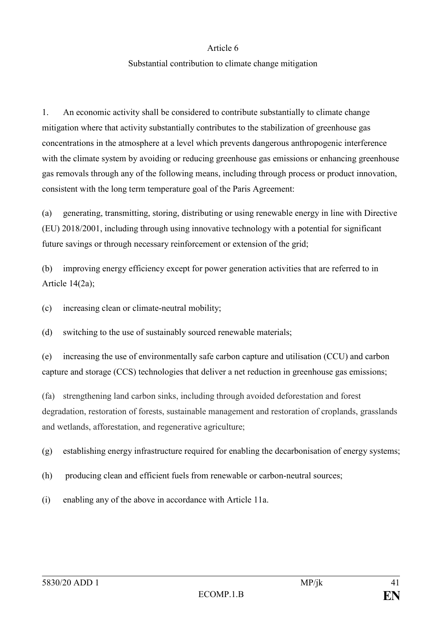#### Article 6

#### Substantial contribution to climate change mitigation

1. An economic activity shall be considered to contribute substantially to climate change mitigation where that activity substantially contributes to the stabilization of greenhouse gas concentrations in the atmosphere at a level which prevents dangerous anthropogenic interference with the climate system by avoiding or reducing greenhouse gas emissions or enhancing greenhouse gas removals through any of the following means, including through process or product innovation, consistent with the long term temperature goal of the Paris Agreement:

(a) generating, transmitting, storing, distributing or using renewable energy in line with Directive (EU) 2018/2001, including through using innovative technology with a potential for significant future savings or through necessary reinforcement or extension of the grid;

(b) improving energy efficiency except for power generation activities that are referred to in Article 14(2a);

(c) increasing clean or climate-neutral mobility;

(d) switching to the use of sustainably sourced renewable materials;

(e) increasing the use of environmentally safe carbon capture and utilisation (CCU) and carbon capture and storage (CCS) technologies that deliver a net reduction in greenhouse gas emissions;

(fa) strengthening land carbon sinks, including through avoided deforestation and forest degradation, restoration of forests, sustainable management and restoration of croplands, grasslands and wetlands, afforestation, and regenerative agriculture;

(g) establishing energy infrastructure required for enabling the decarbonisation of energy systems;

- (h) producing clean and efficient fuels from renewable or carbon-neutral sources;
- (i) enabling any of the above in accordance with Article 11a.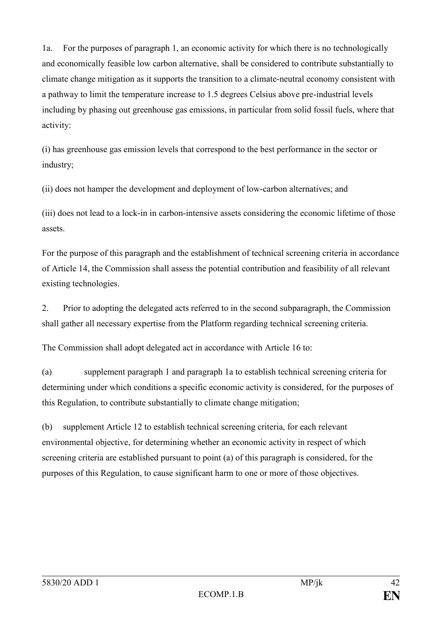1a. For the purposes of paragraph 1, an economic activity for which there is no technologically and economically feasible low carbon alternative, shall be considered to contribute substantially to climate change mitigation as it supports the transition to a climate-neutral economy consistent with a pathway to limit the temperature increase to 1.5 degrees Celsius above pre-industrial levels including by phasing out greenhouse gas emissions, in particular from solid fossil fuels, where that activity:

(i) has greenhouse gas emission levels that correspond to the best performance in the sector or industry;

(ii) does not hamper the development and deployment of low-carbon alternatives; and

(iii) does not lead to a lock-in in carbon-intensive assets considering the economic lifetime of those assets.

For the purpose of this paragraph and the establishment of technical screening criteria in accordance of Article 14, the Commission shall assess the potential contribution and feasibility of all relevant existing technologies.

2. Prior to adopting the delegated acts referred to in the second subparagraph, the Commission shall gather all necessary expertise from the Platform regarding technical screening criteria.

The Commission shall adopt delegated act in accordance with Article 16 to:

(a) supplement paragraph 1 and paragraph 1a to establish technical screening criteria for determining under which conditions a specific economic activity is considered, for the purposes of this Regulation, to contribute substantially to climate change mitigation;

(b) supplement Article 12 to establish technical screening criteria, for each relevant environmental objective, for determining whether an economic activity in respect of which screening criteria are established pursuant to point (a) of this paragraph is considered, for the purposes of this Regulation, to cause significant harm to one or more of those objectives.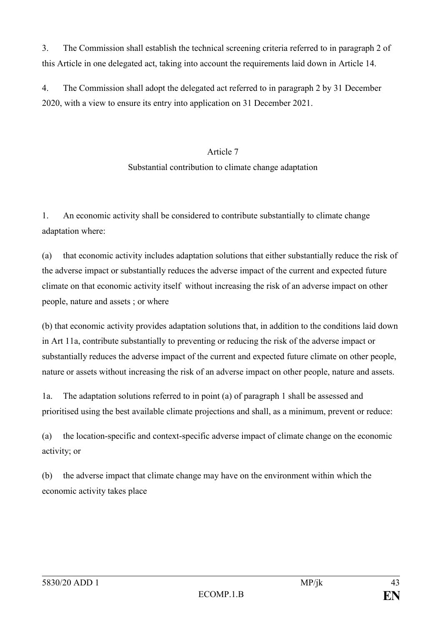3. The Commission shall establish the technical screening criteria referred to in paragraph 2 of this Article in one delegated act, taking into account the requirements laid down in Article 14.

4. The Commission shall adopt the delegated act referred to in paragraph 2 by 31 December 2020, with a view to ensure its entry into application on 31 December 2021.

#### Article 7

#### Substantial contribution to climate change adaptation

1. An economic activity shall be considered to contribute substantially to climate change adaptation where:

(a) that economic activity includes adaptation solutions that either substantially reduce the risk of the adverse impact or substantially reduces the adverse impact of the current and expected future climate on that economic activity itself without increasing the risk of an adverse impact on other people, nature and assets ; or where

(b) that economic activity provides adaptation solutions that, in addition to the conditions laid down in Art 11a, contribute substantially to preventing or reducing the risk of the adverse impact or substantially reduces the adverse impact of the current and expected future climate on other people, nature or assets without increasing the risk of an adverse impact on other people, nature and assets.

1a. The adaptation solutions referred to in point (a) of paragraph 1 shall be assessed and prioritised using the best available climate projections and shall, as a minimum, prevent or reduce:

(a) the location-specific and context-specific adverse impact of climate change on the economic activity; or

(b) the adverse impact that climate change may have on the environment within which the economic activity takes place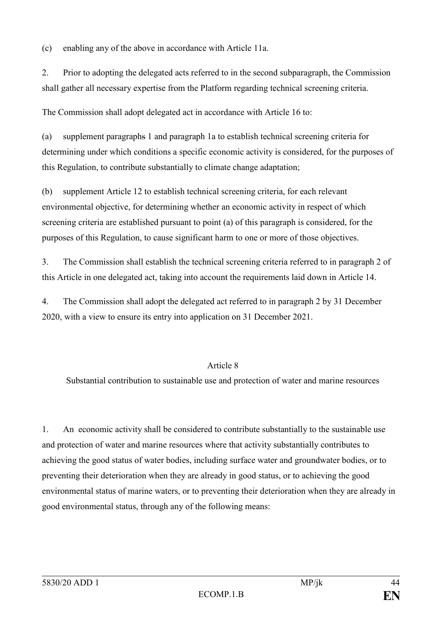(c) enabling any of the above in accordance with Article 11a.

2. Prior to adopting the delegated acts referred to in the second subparagraph, the Commission shall gather all necessary expertise from the Platform regarding technical screening criteria.

The Commission shall adopt delegated act in accordance with Article 16 to:

(a) supplement paragraphs 1 and paragraph 1a to establish technical screening criteria for determining under which conditions a specific economic activity is considered, for the purposes of this Regulation, to contribute substantially to climate change adaptation;

(b) supplement Article 12 to establish technical screening criteria, for each relevant environmental objective, for determining whether an economic activity in respect of which screening criteria are established pursuant to point (a) of this paragraph is considered, for the purposes of this Regulation, to cause significant harm to one or more of those objectives.

3. The Commission shall establish the technical screening criteria referred to in paragraph 2 of this Article in one delegated act, taking into account the requirements laid down in Article 14.

4. The Commission shall adopt the delegated act referred to in paragraph 2 by 31 December 2020, with a view to ensure its entry into application on 31 December 2021.

#### Article 8

Substantial contribution to sustainable use and protection of water and marine resources

1. An economic activity shall be considered to contribute substantially to the sustainable use and protection of water and marine resources where that activity substantially contributes to achieving the good status of water bodies, including surface water and groundwater bodies, or to preventing their deterioration when they are already in good status, or to achieving the good environmental status of marine waters, or to preventing their deterioration when they are already in good environmental status, through any of the following means: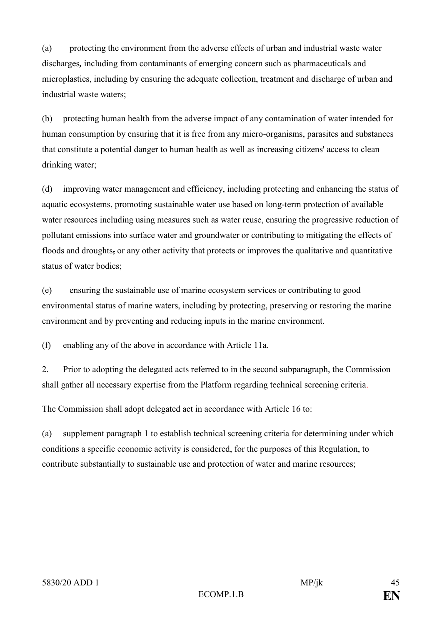(a) protecting the environment from the adverse effects of urban and industrial waste water discharges*,* including from contaminants of emerging concern such as pharmaceuticals and microplastics, including by ensuring the adequate collection, treatment and discharge of urban and industrial waste waters;

(b) protecting human health from the adverse impact of any contamination of water intended for human consumption by ensuring that it is free from any micro-organisms, parasites and substances that constitute a potential danger to human health as well as increasing citizens' access to clean drinking water;

(d) improving water management and efficiency, including protecting and enhancing the status of aquatic ecosystems, promoting sustainable water use based on long-term protection of available water resources including using measures such as water reuse, ensuring the progressive reduction of pollutant emissions into surface water and groundwater or contributing to mitigating the effects of floods and droughts, or any other activity that protects or improves the qualitative and quantitative status of water bodies;

(e) ensuring the sustainable use of marine ecosystem services or contributing to good environmental status of marine waters, including by protecting, preserving or restoring the marine environment and by preventing and reducing inputs in the marine environment.

(f) enabling any of the above in accordance with Article 11a.

2. Prior to adopting the delegated acts referred to in the second subparagraph, the Commission shall gather all necessary expertise from the Platform regarding technical screening criteria.

The Commission shall adopt delegated act in accordance with Article 16 to:

(a) supplement paragraph 1 to establish technical screening criteria for determining under which conditions a specific economic activity is considered, for the purposes of this Regulation, to contribute substantially to sustainable use and protection of water and marine resources;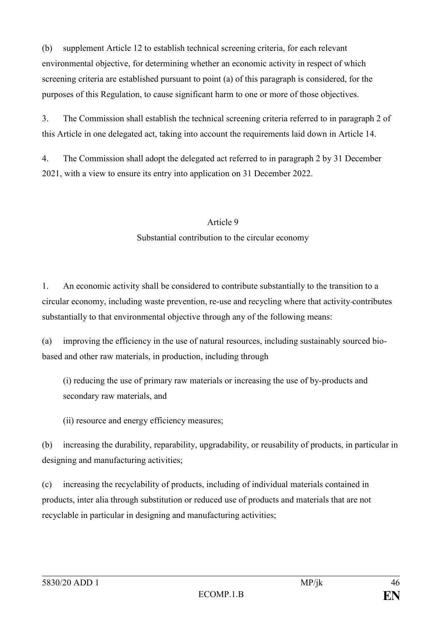(b) supplement Article 12 to establish technical screening criteria, for each relevant environmental objective, for determining whether an economic activity in respect of which screening criteria are established pursuant to point (a) of this paragraph is considered, for the purposes of this Regulation, to cause significant harm to one or more of those objectives.

3. The Commission shall establish the technical screening criteria referred to in paragraph 2 of this Article in one delegated act, taking into account the requirements laid down in Article 14.

4. The Commission shall adopt the delegated act referred to in paragraph 2 by 31 December 2021, with a view to ensure its entry into application on 31 December 2022.

# Article 9 Substantial contribution to the circular economy

1. An economic activity shall be considered to contribute substantially to the transition to a circular economy, including waste prevention, re-use and recycling where that activity contributes substantially to that environmental objective through any of the following means:

(a) improving the efficiency in the use of natural resources, including sustainably sourced biobased and other raw materials, in production, including through

(i) reducing the use of primary raw materials or increasing the use of by-products and secondary raw materials, and

(ii) resource and energy efficiency measures;

(b) increasing the durability, reparability, upgradability, or reusability of products, in particular in designing and manufacturing activities;

(c) increasing the recyclability of products, including of individual materials contained in products, inter alia through substitution or reduced use of products and materials that are not recyclable in particular in designing and manufacturing activities;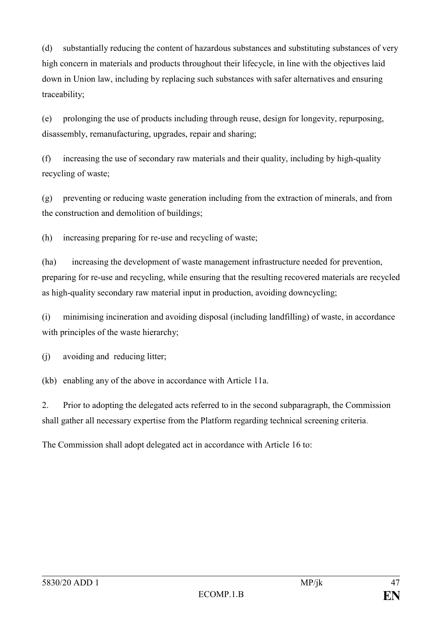(d) substantially reducing the content of hazardous substances and substituting substances of very high concern in materials and products throughout their lifecycle, in line with the objectives laid down in Union law, including by replacing such substances with safer alternatives and ensuring traceability;

(e) prolonging the use of products including through reuse, design for longevity, repurposing, disassembly, remanufacturing, upgrades, repair and sharing;

(f) increasing the use of secondary raw materials and their quality, including by high-quality recycling of waste;

(g) preventing or reducing waste generation including from the extraction of minerals, and from the construction and demolition of buildings;

(h) increasing preparing for re-use and recycling of waste;

(ha) increasing the development of waste management infrastructure needed for prevention, preparing for re-use and recycling, while ensuring that the resulting recovered materials are recycled as high-quality secondary raw material input in production, avoiding downcycling;

(i) minimising incineration and avoiding disposal (including landfilling) of waste, in accordance with principles of the waste hierarchy;

(j) avoiding and reducing litter;

(kb) enabling any of the above in accordance with Article 11a.

2. Prior to adopting the delegated acts referred to in the second subparagraph, the Commission shall gather all necessary expertise from the Platform regarding technical screening criteria.

The Commission shall adopt delegated act in accordance with Article 16 to: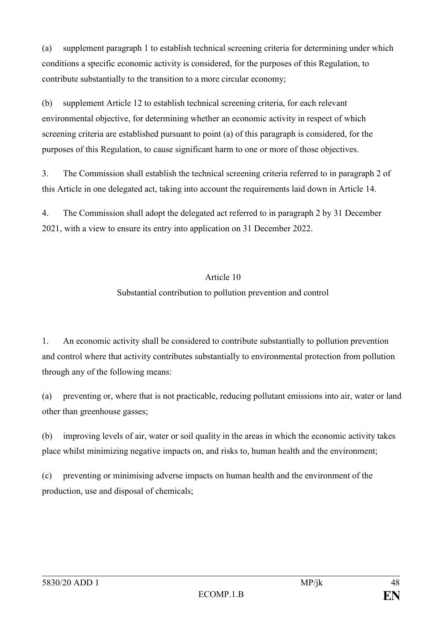(a) supplement paragraph 1 to establish technical screening criteria for determining under which conditions a specific economic activity is considered, for the purposes of this Regulation, to contribute substantially to the transition to a more circular economy;

(b) supplement Article 12 to establish technical screening criteria, for each relevant environmental objective, for determining whether an economic activity in respect of which screening criteria are established pursuant to point (a) of this paragraph is considered, for the purposes of this Regulation, to cause significant harm to one or more of those objectives.

3. The Commission shall establish the technical screening criteria referred to in paragraph 2 of this Article in one delegated act, taking into account the requirements laid down in Article 14.

4. The Commission shall adopt the delegated act referred to in paragraph 2 by 31 December 2021, with a view to ensure its entry into application on 31 December 2022.

#### Article 10

#### Substantial contribution to pollution prevention and control

1. An economic activity shall be considered to contribute substantially to pollution prevention and control where that activity contributes substantially to environmental protection from pollution through any of the following means:

(a) preventing or, where that is not practicable, reducing pollutant emissions into air, water or land other than greenhouse gasses;

(b) improving levels of air, water or soil quality in the areas in which the economic activity takes place whilst minimizing negative impacts on, and risks to, human health and the environment;

(c) preventing or minimising adverse impacts on human health and the environment of the production, use and disposal of chemicals;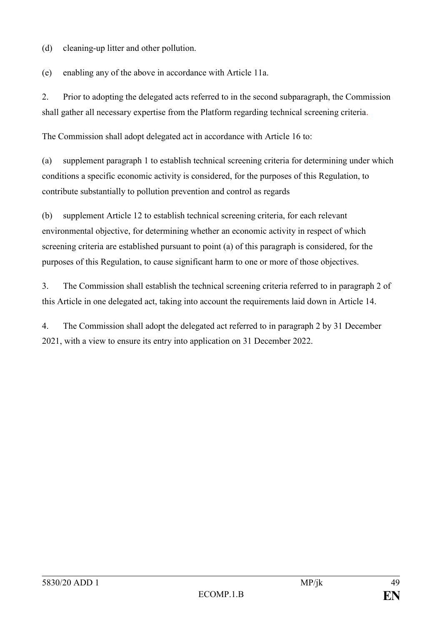(d) cleaning-up litter and other pollution.

(e) enabling any of the above in accordance with Article 11a.

2. Prior to adopting the delegated acts referred to in the second subparagraph, the Commission shall gather all necessary expertise from the Platform regarding technical screening criteria.

The Commission shall adopt delegated act in accordance with Article 16 to:

(a) supplement paragraph 1 to establish technical screening criteria for determining under which conditions a specific economic activity is considered, for the purposes of this Regulation, to contribute substantially to pollution prevention and control as regards

(b) supplement Article 12 to establish technical screening criteria, for each relevant environmental objective, for determining whether an economic activity in respect of which screening criteria are established pursuant to point (a) of this paragraph is considered, for the purposes of this Regulation, to cause significant harm to one or more of those objectives.

3. The Commission shall establish the technical screening criteria referred to in paragraph 2 of this Article in one delegated act, taking into account the requirements laid down in Article 14.

4. The Commission shall adopt the delegated act referred to in paragraph 2 by 31 December 2021, with a view to ensure its entry into application on 31 December 2022.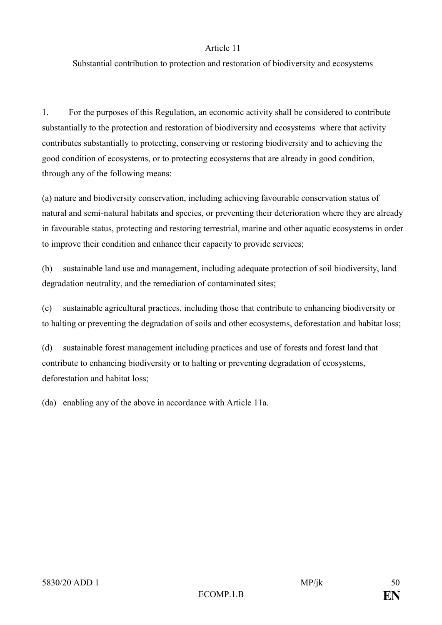#### Article 11

Substantial contribution to protection and restoration of biodiversity and ecosystems

1. For the purposes of this Regulation, an economic activity shall be considered to contribute substantially to the protection and restoration of biodiversity and ecosystems where that activity contributes substantially to protecting, conserving or restoring biodiversity and to achieving the good condition of ecosystems, or to protecting ecosystems that are already in good condition, through any of the following means:

(a) nature and biodiversity conservation, including achieving favourable conservation status of natural and semi-natural habitats and species, or preventing their deterioration where they are already in favourable status, protecting and restoring terrestrial, marine and other aquatic ecosystems in order to improve their condition and enhance their capacity to provide services;

(b) sustainable land use and management, including adequate protection of soil biodiversity, land degradation neutrality, and the remediation of contaminated sites;

(c) sustainable agricultural practices, including those that contribute to enhancing biodiversity or to halting or preventing the degradation of soils and other ecosystems, deforestation and habitat loss;

(d) sustainable forest management including practices and use of forests and forest land that contribute to enhancing biodiversity or to halting or preventing degradation of ecosystems, deforestation and habitat loss;

(da) enabling any of the above in accordance with Article 11a.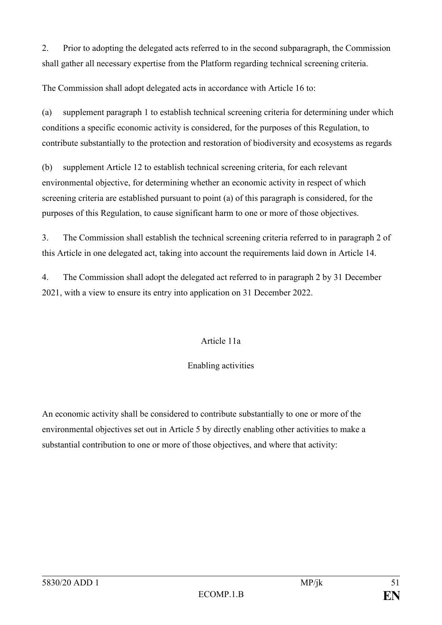2. Prior to adopting the delegated acts referred to in the second subparagraph, the Commission shall gather all necessary expertise from the Platform regarding technical screening criteria.

The Commission shall adopt delegated acts in accordance with Article 16 to:

(a) supplement paragraph 1 to establish technical screening criteria for determining under which conditions a specific economic activity is considered, for the purposes of this Regulation, to contribute substantially to the protection and restoration of biodiversity and ecosystems as regards

(b) supplement Article 12 to establish technical screening criteria, for each relevant environmental objective, for determining whether an economic activity in respect of which screening criteria are established pursuant to point (a) of this paragraph is considered, for the purposes of this Regulation, to cause significant harm to one or more of those objectives.

3. The Commission shall establish the technical screening criteria referred to in paragraph 2 of this Article in one delegated act, taking into account the requirements laid down in Article 14.

4. The Commission shall adopt the delegated act referred to in paragraph 2 by 31 December 2021, with a view to ensure its entry into application on 31 December 2022.

# Article 11a

#### Enabling activities

An economic activity shall be considered to contribute substantially to one or more of the environmental objectives set out in Article 5 by directly enabling other activities to make a substantial contribution to one or more of those objectives, and where that activity: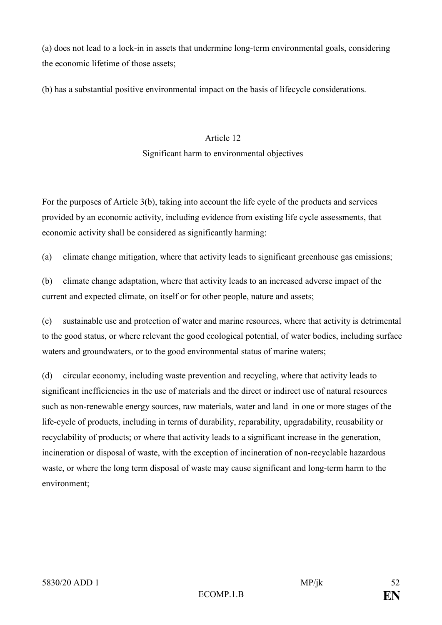(a) does not lead to a lock-in in assets that undermine long-term environmental goals, considering the economic lifetime of those assets;

(b) has a substantial positive environmental impact on the basis of lifecycle considerations.

# Article 12

#### Significant harm to environmental objectives

For the purposes of Article 3(b), taking into account the life cycle of the products and services provided by an economic activity, including evidence from existing life cycle assessments, that economic activity shall be considered as significantly harming:

(a) climate change mitigation, where that activity leads to significant greenhouse gas emissions;

(b) climate change adaptation, where that activity leads to an increased adverse impact of the current and expected climate, on itself or for other people, nature and assets;

(c) sustainable use and protection of water and marine resources, where that activity is detrimental to the good status, or where relevant the good ecological potential, of water bodies, including surface waters and groundwaters, or to the good environmental status of marine waters;

(d) circular economy, including waste prevention and recycling, where that activity leads to significant inefficiencies in the use of materials and the direct or indirect use of natural resources such as non-renewable energy sources, raw materials, water and land in one or more stages of the life-cycle of products, including in terms of durability, reparability, upgradability, reusability or recyclability of products; or where that activity leads to a significant increase in the generation, incineration or disposal of waste, with the exception of incineration of non-recyclable hazardous waste, or where the long term disposal of waste may cause significant and long-term harm to the environment;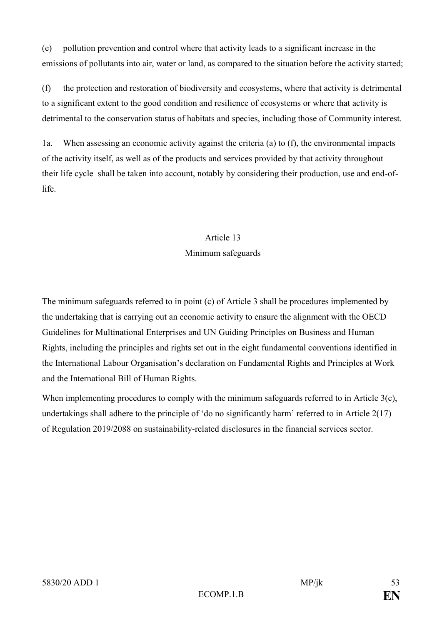(e) pollution prevention and control where that activity leads to a significant increase in the emissions of pollutants into air, water or land, as compared to the situation before the activity started;

(f) the protection and restoration of biodiversity and ecosystems, where that activity is detrimental to a significant extent to the good condition and resilience of ecosystems or where that activity is detrimental to the conservation status of habitats and species, including those of Community interest.

1a. When assessing an economic activity against the criteria (a) to (f), the environmental impacts of the activity itself, as well as of the products and services provided by that activity throughout their life cycle shall be taken into account, notably by considering their production, use and end-oflife.

# Article 13 Minimum safeguards

The minimum safeguards referred to in point (c) of Article 3 shall be procedures implemented by the undertaking that is carrying out an economic activity to ensure the alignment with the OECD Guidelines for Multinational Enterprises and UN Guiding Principles on Business and Human Rights, including the principles and rights set out in the eight fundamental conventions identified in the International Labour Organisation's declaration on Fundamental Rights and Principles at Work and the International Bill of Human Rights.

When implementing procedures to comply with the minimum safeguards referred to in Article 3(c), undertakings shall adhere to the principle of 'do no significantly harm' referred to in Article 2(17) of Regulation 2019/2088 on sustainability-related disclosures in the financial services sector.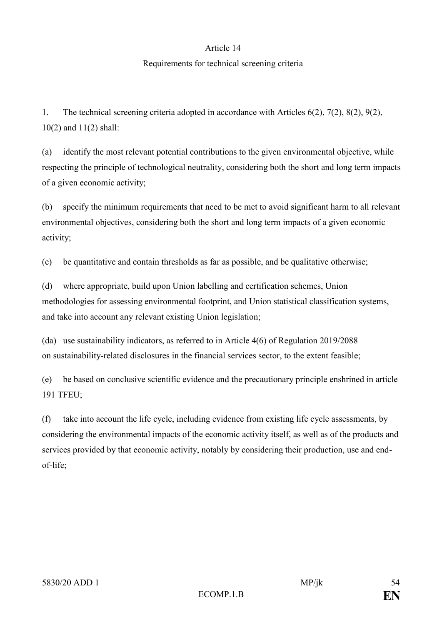#### Article 14

#### Requirements for technical screening criteria

1. The technical screening criteria adopted in accordance with Articles 6(2), 7(2), 8(2), 9(2), 10(2) and 11(2) shall:

(a) identify the most relevant potential contributions to the given environmental objective, while respecting the principle of technological neutrality, considering both the short and long term impacts of a given economic activity;

(b) specify the minimum requirements that need to be met to avoid significant harm to all relevant environmental objectives, considering both the short and long term impacts of a given economic activity;

(c) be quantitative and contain thresholds as far as possible, and be qualitative otherwise;

(d) where appropriate, build upon Union labelling and certification schemes, Union methodologies for assessing environmental footprint, and Union statistical classification systems, and take into account any relevant existing Union legislation;

(da) use sustainability indicators, as referred to in Article 4(6) of Regulation 2019/2088 on sustainability-related disclosures in the financial services sector, to the extent feasible;

(e) be based on conclusive scientific evidence and the precautionary principle enshrined in article 191 TFEU;

(f) take into account the life cycle, including evidence from existing life cycle assessments, by considering the environmental impacts of the economic activity itself, as well as of the products and services provided by that economic activity, notably by considering their production, use and endof-life;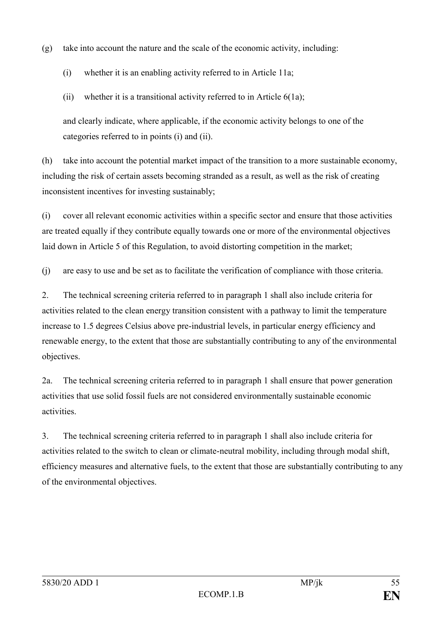(g) take into account the nature and the scale of the economic activity, including:

- (i) whether it is an enabling activity referred to in Article 11a;
- (ii) whether it is a transitional activity referred to in Article  $6(1a)$ ;

and clearly indicate, where applicable, if the economic activity belongs to one of the categories referred to in points (i) and (ii).

(h) take into account the potential market impact of the transition to a more sustainable economy, including the risk of certain assets becoming stranded as a result, as well as the risk of creating inconsistent incentives for investing sustainably;

(i) cover all relevant economic activities within a specific sector and ensure that those activities are treated equally if they contribute equally towards one or more of the environmental objectives laid down in Article 5 of this Regulation, to avoid distorting competition in the market;

(j) are easy to use and be set as to facilitate the verification of compliance with those criteria.

2. The technical screening criteria referred to in paragraph 1 shall also include criteria for activities related to the clean energy transition consistent with a pathway to limit the temperature increase to 1.5 degrees Celsius above pre-industrial levels, in particular energy efficiency and renewable energy, to the extent that those are substantially contributing to any of the environmental objectives.

2a. The technical screening criteria referred to in paragraph 1 shall ensure that power generation activities that use solid fossil fuels are not considered environmentally sustainable economic activities.

3. The technical screening criteria referred to in paragraph 1 shall also include criteria for activities related to the switch to clean or climate-neutral mobility, including through modal shift, efficiency measures and alternative fuels, to the extent that those are substantially contributing to any of the environmental objectives.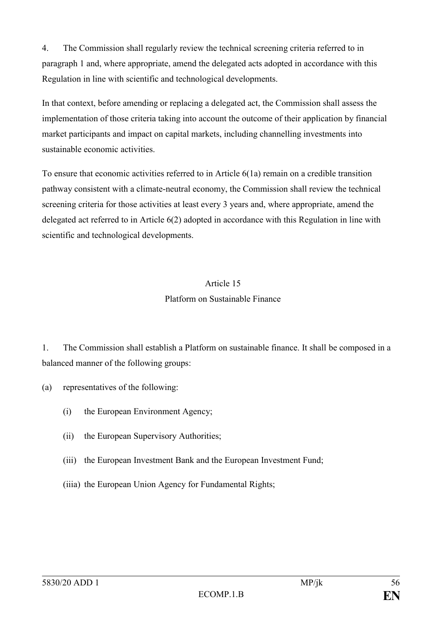4. The Commission shall regularly review the technical screening criteria referred to in paragraph 1 and, where appropriate, amend the delegated acts adopted in accordance with this Regulation in line with scientific and technological developments.

In that context, before amending or replacing a delegated act, the Commission shall assess the implementation of those criteria taking into account the outcome of their application by financial market participants and impact on capital markets, including channelling investments into sustainable economic activities.

To ensure that economic activities referred to in Article 6(1a) remain on a credible transition pathway consistent with a climate-neutral economy, the Commission shall review the technical screening criteria for those activities at least every 3 years and, where appropriate, amend the delegated act referred to in Article 6(2) adopted in accordance with this Regulation in line with scientific and technological developments.

#### Article 15

#### Platform on Sustainable Finance

1. The Commission shall establish a Platform on sustainable finance. It shall be composed in a balanced manner of the following groups:

(a) representatives of the following:

- (i) the European Environment Agency;
- (ii) the European Supervisory Authorities;
- (iii) the European Investment Bank and the European Investment Fund;
- (iiia) the European Union Agency for Fundamental Rights;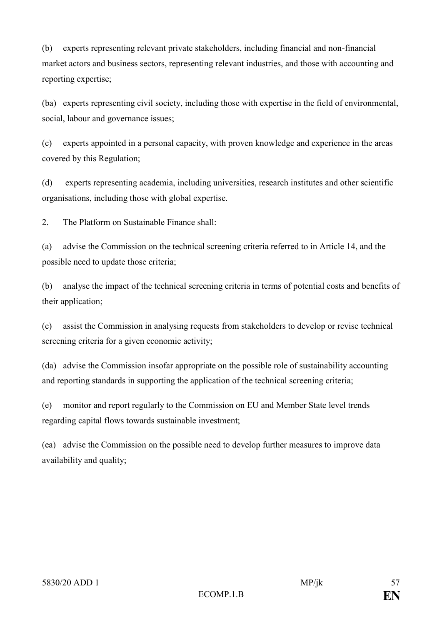(b) experts representing relevant private stakeholders, including financial and non-financial market actors and business sectors, representing relevant industries, and those with accounting and reporting expertise;

(ba) experts representing civil society, including those with expertise in the field of environmental, social, labour and governance issues;

(c) experts appointed in a personal capacity, with proven knowledge and experience in the areas covered by this Regulation;

(d) experts representing academia, including universities, research institutes and other scientific organisations, including those with global expertise.

2. The Platform on Sustainable Finance shall:

(a) advise the Commission on the technical screening criteria referred to in Article 14, and the possible need to update those criteria;

(b) analyse the impact of the technical screening criteria in terms of potential costs and benefits of their application;

(c) assist the Commission in analysing requests from stakeholders to develop or revise technical screening criteria for a given economic activity;

(da) advise the Commission insofar appropriate on the possible role of sustainability accounting and reporting standards in supporting the application of the technical screening criteria;

(e) monitor and report regularly to the Commission on EU and Member State level trends regarding capital flows towards sustainable investment;

(ea) advise the Commission on the possible need to develop further measures to improve data availability and quality;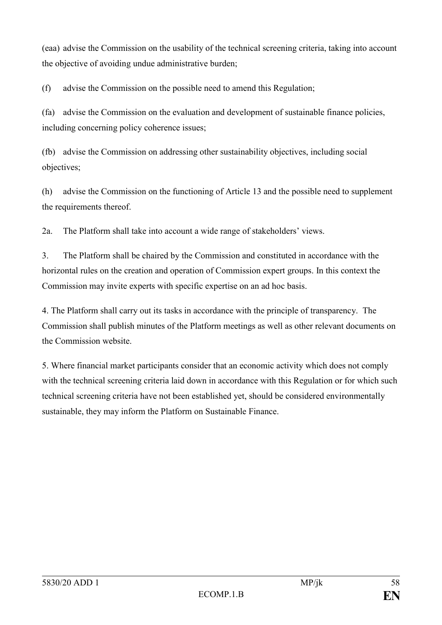(eaa) advise the Commission on the usability of the technical screening criteria, taking into account the objective of avoiding undue administrative burden;

(f) advise the Commission on the possible need to amend this Regulation;

(fa) advise the Commission on the evaluation and development of sustainable finance policies, including concerning policy coherence issues;

(fb) advise the Commission on addressing other sustainability objectives, including social objectives;

(h) advise the Commission on the functioning of Article 13 and the possible need to supplement the requirements thereof.

2a. The Platform shall take into account a wide range of stakeholders' views.

3. The Platform shall be chaired by the Commission and constituted in accordance with the horizontal rules on the creation and operation of Commission expert groups. In this context the Commission may invite experts with specific expertise on an ad hoc basis.

4. The Platform shall carry out its tasks in accordance with the principle of transparency. The Commission shall publish minutes of the Platform meetings as well as other relevant documents on the Commission website.

5. Where financial market participants consider that an economic activity which does not comply with the technical screening criteria laid down in accordance with this Regulation or for which such technical screening criteria have not been established yet, should be considered environmentally sustainable, they may inform the Platform on Sustainable Finance.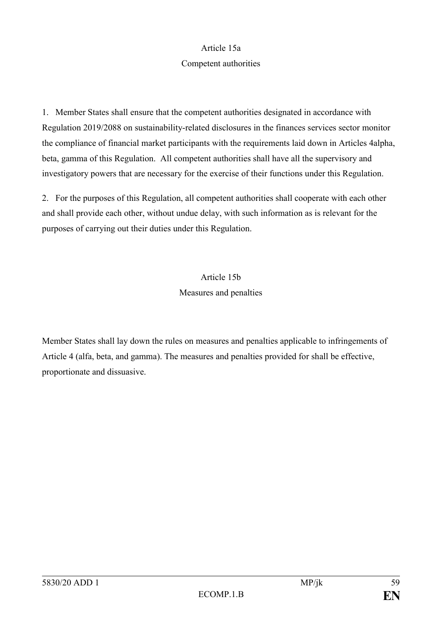#### Article 15a

#### Competent authorities

1. Member States shall ensure that the competent authorities designated in accordance with Regulation 2019/2088 on sustainability-related disclosures in the finances services sector monitor the compliance of financial market participants with the requirements laid down in Articles 4alpha, beta, gamma of this Regulation. All competent authorities shall have all the supervisory and investigatory powers that are necessary for the exercise of their functions under this Regulation.

2. For the purposes of this Regulation, all competent authorities shall cooperate with each other and shall provide each other, without undue delay, with such information as is relevant for the purposes of carrying out their duties under this Regulation.

# Article 15b Measures and penalties

Member States shall lay down the rules on measures and penalties applicable to infringements of Article 4 (alfa, beta, and gamma). The measures and penalties provided for shall be effective, proportionate and dissuasive.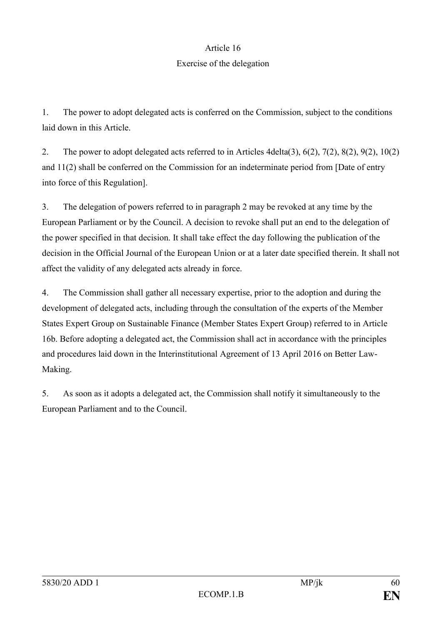#### Article 16

#### Exercise of the delegation

1. The power to adopt delegated acts is conferred on the Commission, subject to the conditions laid down in this Article.

2. The power to adopt delegated acts referred to in Articles 4delta(3), 6(2), 7(2), 8(2), 9(2), 10(2) and 11(2) shall be conferred on the Commission for an indeterminate period from [Date of entry into force of this Regulation].

3. The delegation of powers referred to in paragraph 2 may be revoked at any time by the European Parliament or by the Council. A decision to revoke shall put an end to the delegation of the power specified in that decision. It shall take effect the day following the publication of the decision in the Official Journal of the European Union or at a later date specified therein. It shall not affect the validity of any delegated acts already in force.

4. The Commission shall gather all necessary expertise, prior to the adoption and during the development of delegated acts, including through the consultation of the experts of the Member States Expert Group on Sustainable Finance (Member States Expert Group) referred to in Article 16b. Before adopting a delegated act, the Commission shall act in accordance with the principles and procedures laid down in the Interinstitutional Agreement of 13 April 2016 on Better Law-Making.

5. As soon as it adopts a delegated act, the Commission shall notify it simultaneously to the European Parliament and to the Council.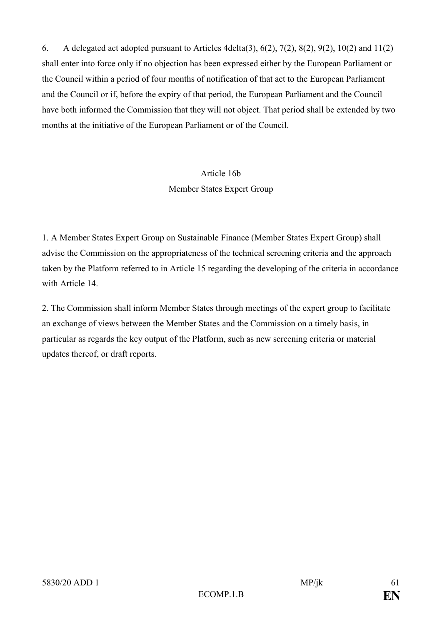6. A delegated act adopted pursuant to Articles 4delta(3), 6(2), 7(2), 8(2), 9(2), 10(2) and 11(2) shall enter into force only if no objection has been expressed either by the European Parliament or the Council within a period of four months of notification of that act to the European Parliament and the Council or if, before the expiry of that period, the European Parliament and the Council have both informed the Commission that they will not object. That period shall be extended by two months at the initiative of the European Parliament or of the Council.

# Article 16b

### Member States Expert Group

1. A Member States Expert Group on Sustainable Finance (Member States Expert Group) shall advise the Commission on the appropriateness of the technical screening criteria and the approach taken by the Platform referred to in Article 15 regarding the developing of the criteria in accordance with Article 14

2. The Commission shall inform Member States through meetings of the expert group to facilitate an exchange of views between the Member States and the Commission on a timely basis, in particular as regards the key output of the Platform, such as new screening criteria or material updates thereof, or draft reports.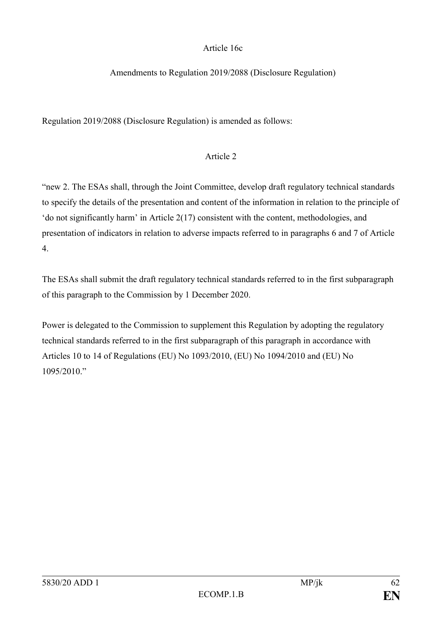### Article 16c

#### Amendments to Regulation 2019/2088 (Disclosure Regulation)

Regulation 2019/2088 (Disclosure Regulation) is amended as follows:

#### Article 2

"new 2. The ESAs shall, through the Joint Committee, develop draft regulatory technical standards to specify the details of the presentation and content of the information in relation to the principle of 'do not significantly harm' in Article 2(17) consistent with the content, methodologies, and presentation of indicators in relation to adverse impacts referred to in paragraphs 6 and 7 of Article 4.

The ESAs shall submit the draft regulatory technical standards referred to in the first subparagraph of this paragraph to the Commission by 1 December 2020.

Power is delegated to the Commission to supplement this Regulation by adopting the regulatory technical standards referred to in the first subparagraph of this paragraph in accordance with Articles 10 to 14 of Regulations (EU) No 1093/2010, (EU) No 1094/2010 and (EU) No 1095/2010."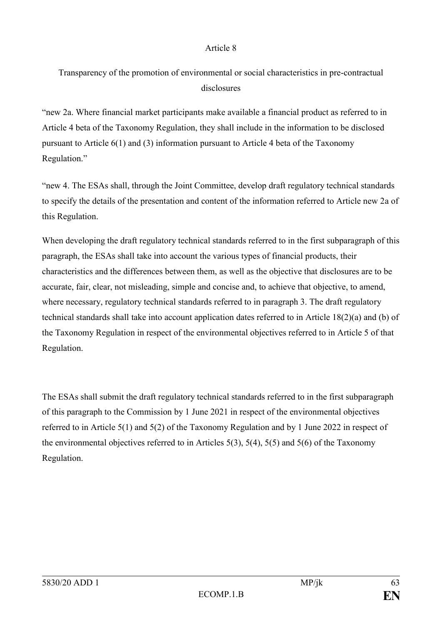#### Article 8

Transparency of the promotion of environmental or social characteristics in pre-contractual disclosures

"new 2a. Where financial market participants make available a financial product as referred to in Article 4 beta of the Taxonomy Regulation, they shall include in the information to be disclosed pursuant to Article 6(1) and (3) information pursuant to Article 4 beta of the Taxonomy Regulation."

"new 4. The ESAs shall, through the Joint Committee, develop draft regulatory technical standards to specify the details of the presentation and content of the information referred to Article new 2a of this Regulation.

When developing the draft regulatory technical standards referred to in the first subparagraph of this paragraph, the ESAs shall take into account the various types of financial products, their characteristics and the differences between them, as well as the objective that disclosures are to be accurate, fair, clear, not misleading, simple and concise and, to achieve that objective, to amend, where necessary, regulatory technical standards referred to in paragraph 3. The draft regulatory technical standards shall take into account application dates referred to in Article 18(2)(a) and (b) of the Taxonomy Regulation in respect of the environmental objectives referred to in Article 5 of that Regulation.

The ESAs shall submit the draft regulatory technical standards referred to in the first subparagraph of this paragraph to the Commission by 1 June 2021 in respect of the environmental objectives referred to in Article 5(1) and 5(2) of the Taxonomy Regulation and by 1 June 2022 in respect of the environmental objectives referred to in Articles 5(3), 5(4), 5(5) and 5(6) of the Taxonomy Regulation.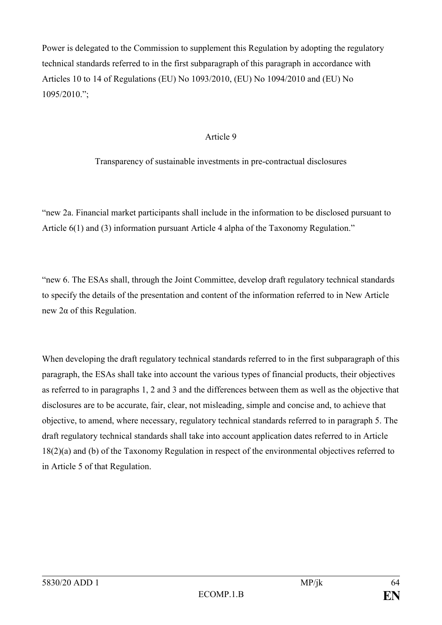Power is delegated to the Commission to supplement this Regulation by adopting the regulatory technical standards referred to in the first subparagraph of this paragraph in accordance with Articles 10 to 14 of Regulations (EU) No 1093/2010, (EU) No 1094/2010 and (EU) No 1095/2010.";

#### Article 9

Transparency of sustainable investments in pre-contractual disclosures

"new 2a. Financial market participants shall include in the information to be disclosed pursuant to Article 6(1) and (3) information pursuant Article 4 alpha of the Taxonomy Regulation."

"new 6. The ESAs shall, through the Joint Committee, develop draft regulatory technical standards to specify the details of the presentation and content of the information referred to in New Article new 2α of this Regulation.

When developing the draft regulatory technical standards referred to in the first subparagraph of this paragraph, the ESAs shall take into account the various types of financial products, their objectives as referred to in paragraphs 1, 2 and 3 and the differences between them as well as the objective that disclosures are to be accurate, fair, clear, not misleading, simple and concise and, to achieve that objective, to amend, where necessary, regulatory technical standards referred to in paragraph 5. The draft regulatory technical standards shall take into account application dates referred to in Article 18(2)(a) and (b) of the Taxonomy Regulation in respect of the environmental objectives referred to in Article 5 of that Regulation.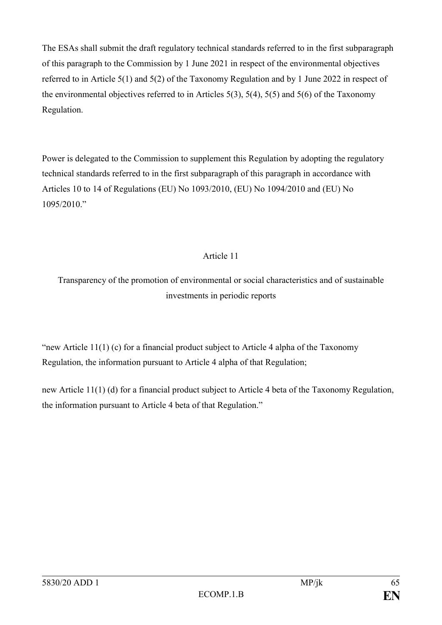The ESAs shall submit the draft regulatory technical standards referred to in the first subparagraph of this paragraph to the Commission by 1 June 2021 in respect of the environmental objectives referred to in Article 5(1) and 5(2) of the Taxonomy Regulation and by 1 June 2022 in respect of the environmental objectives referred to in Articles  $5(3)$ ,  $5(4)$ ,  $5(5)$  and  $5(6)$  of the Taxonomy Regulation.

Power is delegated to the Commission to supplement this Regulation by adopting the regulatory technical standards referred to in the first subparagraph of this paragraph in accordance with Articles 10 to 14 of Regulations (EU) No 1093/2010, (EU) No 1094/2010 and (EU) No 1095/2010."

# Article 11

Transparency of the promotion of environmental or social characteristics and of sustainable investments in periodic reports

"new Article 11(1) (c) for a financial product subject to Article 4 alpha of the Taxonomy Regulation, the information pursuant to Article 4 alpha of that Regulation;

new Article 11(1) (d) for a financial product subject to Article 4 beta of the Taxonomy Regulation, the information pursuant to Article 4 beta of that Regulation."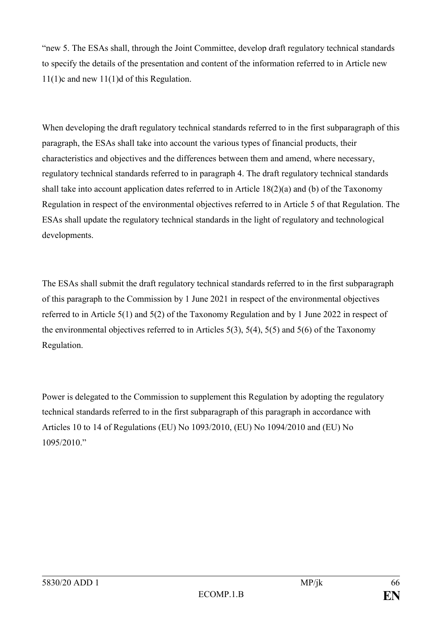"new 5. The ESAs shall, through the Joint Committee, develop draft regulatory technical standards to specify the details of the presentation and content of the information referred to in Article new 11(1)c and new 11(1)d of this Regulation.

When developing the draft regulatory technical standards referred to in the first subparagraph of this paragraph, the ESAs shall take into account the various types of financial products, their characteristics and objectives and the differences between them and amend, where necessary, regulatory technical standards referred to in paragraph 4. The draft regulatory technical standards shall take into account application dates referred to in Article 18(2)(a) and (b) of the Taxonomy Regulation in respect of the environmental objectives referred to in Article 5 of that Regulation. The ESAs shall update the regulatory technical standards in the light of regulatory and technological developments.

The ESAs shall submit the draft regulatory technical standards referred to in the first subparagraph of this paragraph to the Commission by 1 June 2021 in respect of the environmental objectives referred to in Article 5(1) and 5(2) of the Taxonomy Regulation and by 1 June 2022 in respect of the environmental objectives referred to in Articles  $5(3)$ ,  $5(4)$ ,  $5(5)$  and  $5(6)$  of the Taxonomy Regulation.

Power is delegated to the Commission to supplement this Regulation by adopting the regulatory technical standards referred to in the first subparagraph of this paragraph in accordance with Articles 10 to 14 of Regulations (EU) No 1093/2010, (EU) No 1094/2010 and (EU) No 1095/2010."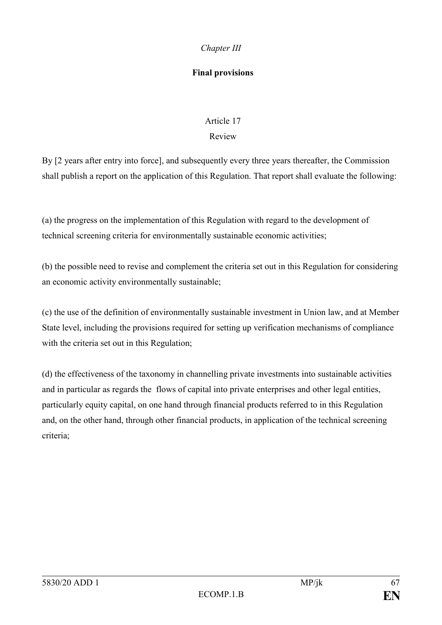# *Chapter III*

### **Final provisions**

# Article 17

### Review

By [2 years after entry into force], and subsequently every three years thereafter, the Commission shall publish a report on the application of this Regulation. That report shall evaluate the following:

(a) the progress on the implementation of this Regulation with regard to the development of technical screening criteria for environmentally sustainable economic activities;

(b) the possible need to revise and complement the criteria set out in this Regulation for considering an economic activity environmentally sustainable;

(c) the use of the definition of environmentally sustainable investment in Union law, and at Member State level, including the provisions required for setting up verification mechanisms of compliance with the criteria set out in this Regulation;

(d) the effectiveness of the taxonomy in channelling private investments into sustainable activities and in particular as regards the flows of capital into private enterprises and other legal entities, particularly equity capital, on one hand through financial products referred to in this Regulation and, on the other hand, through other financial products, in application of the technical screening criteria;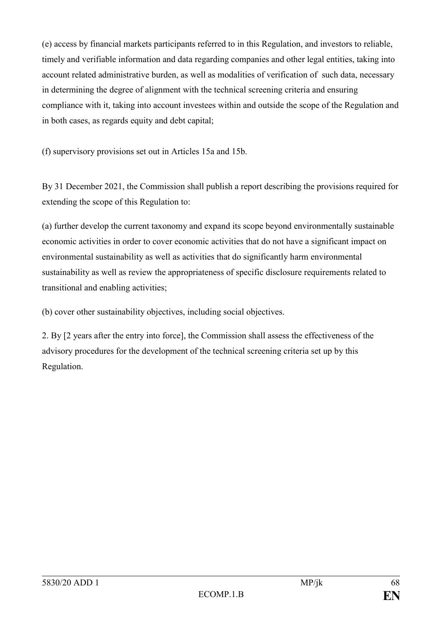(e) access by financial markets participants referred to in this Regulation, and investors to reliable, timely and verifiable information and data regarding companies and other legal entities, taking into account related administrative burden, as well as modalities of verification of such data, necessary in determining the degree of alignment with the technical screening criteria and ensuring compliance with it, taking into account investees within and outside the scope of the Regulation and in both cases, as regards equity and debt capital;

(f) supervisory provisions set out in Articles 15a and 15b.

By 31 December 2021, the Commission shall publish a report describing the provisions required for extending the scope of this Regulation to:

(a) further develop the current taxonomy and expand its scope beyond environmentally sustainable economic activities in order to cover economic activities that do not have a significant impact on environmental sustainability as well as activities that do significantly harm environmental sustainability as well as review the appropriateness of specific disclosure requirements related to transitional and enabling activities;

(b) cover other sustainability objectives, including social objectives.

2. By [2 years after the entry into force], the Commission shall assess the effectiveness of the advisory procedures for the development of the technical screening criteria set up by this Regulation.